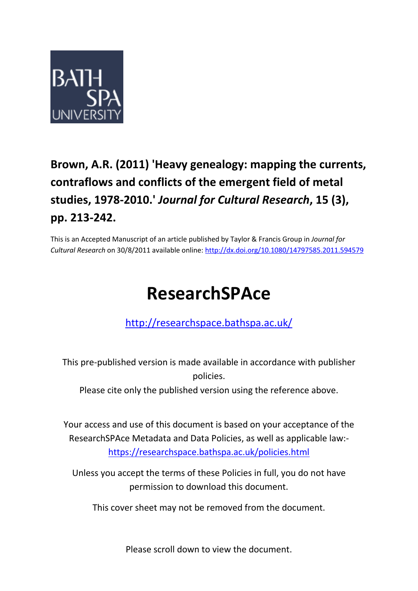

# **Brown, A.R. (2011) 'Heavy genealogy: mapping the currents, contraflows and conflicts of the emergent field of metal studies, 1978-2010.'** *Journal for Cultural Research***, 15 (3), pp. 213-242.**

This is an Accepted Manuscript of an article published by Taylor & Francis Group in *Journal for Cultural Research* on 30/8/2011 available online:<http://dx.doi.org/10.1080/14797585.2011.594579>

# **ResearchSPAce**

## <http://researchspace.bathspa.ac.uk/>

This pre-published version is made available in accordance with publisher policies.

Please cite only the published version using the reference above.

Your access and use of this document is based on your acceptance of the ResearchSPAce Metadata and Data Policies, as well as applicable law: https://researchspace.bathspa.ac.uk/policies.html

Unless you accept the terms of these Policies in full, you do not have permission to download this document.

This cover sheet may not be removed from the document.

Please scroll down to view the document.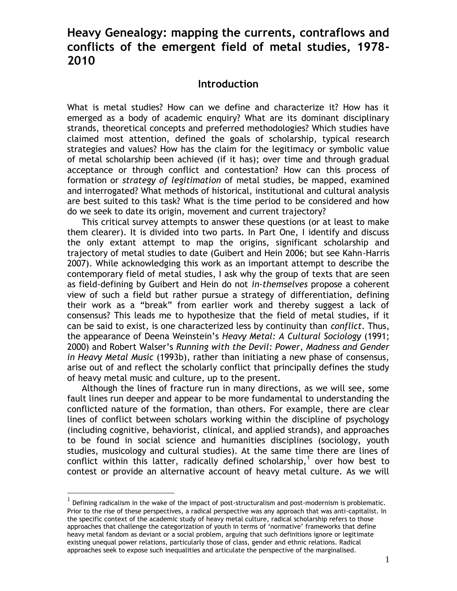### **Heavy Genealogy: mapping the currents, contraflows and conflicts of the emergent field of metal studies, 1978- 2010**

#### **Introduction**

What is metal studies? How can we define and characterize it? How has it emerged as a body of academic enquiry? What are its dominant disciplinary strands, theoretical concepts and preferred methodologies? Which studies have claimed most attention, defined the goals of scholarship, typical research strategies and values? How has the claim for the legitimacy or symbolic value of metal scholarship been achieved (if it has); over time and through gradual acceptance or through conflict and contestation? How can this process of formation or *strategy of legitimation* of metal studies, be mapped, examined and interrogated? What methods of historical, institutional and cultural analysis are best suited to this task? What is the time period to be considered and how do we seek to date its origin, movement and current trajectory?

This critical survey attempts to answer these questions (or at least to make them clearer). It is divided into two parts. In Part One, I identify and discuss the only extant attempt to map the origins, significant scholarship and trajectory of metal studies to date (Guibert and Hein 2006; but see Kahn-Harris 2007). While acknowledging this work as an important attempt to describe the contemporary field of metal studies, I ask why the group of texts that are seen as field-defining by Guibert and Hein do not *in-themselves* propose a coherent view of such a field but rather pursue a strategy of differentiation, defining their work as a "break" from earlier work and thereby suggest a lack of consensus? This leads me to hypothesize that the field of metal studies, if it can be said to exist, is one characterized less by continuity than *conflict*. Thus, the appearance of Deena Weinstein's *Heavy Metal: A Cultural Sociology* (1991; 2000) and Robert Walser's *Running with the Devil: Power, Madness and Gender in Heavy Metal Music* (1993b), rather than initiating a new phase of consensus, arise out of and reflect the scholarly conflict that principally defines the study of heavy metal music and culture, up to the present.

Although the lines of fracture run in many directions, as we will see, some fault lines run deeper and appear to be more fundamental to understanding the conflicted nature of the formation, than others. For example, there are clear lines of conflict between scholars working within the discipline of psychology (including cognitive, behaviorist, clinical, and applied strands), and approaches to be found in social science and humanities disciplines (sociology, youth studies, musicology and cultural studies). At the same time there are lines of conflict within this latter, radically defined scholarship,<sup>1</sup> over how best to contest or provide an alternative account of heavy metal culture. As we will

 $^{\rm 1}$  Defining radicalism in the wake of the impact of post-structuralism and post-modernism is problematic. Prior to the rise of these perspectives, a radical perspective was any approach that was anti-capitalist. In the specific context of the academic study of heavy metal culture, radical scholarship refers to those approaches that challenge the categorization of youth in terms of 'normative' frameworks that define heavy metal fandom as deviant or a social problem, arguing that such definitions ignore or legitimate existing unequal power relations, particularly those of class, gender and ethnic relations. Radical approaches seek to expose such inequalities and articulate the perspective of the marginalised.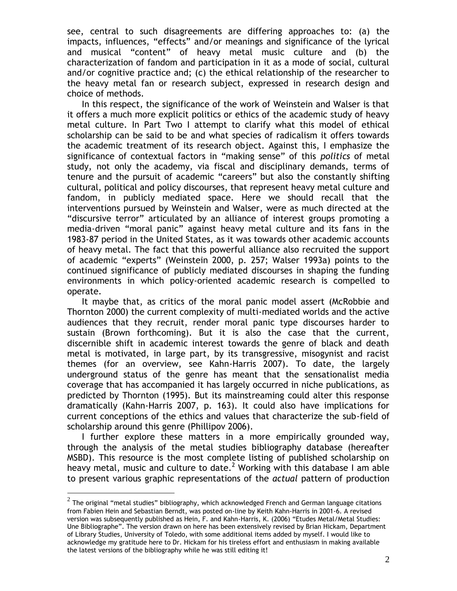see, central to such disagreements are differing approaches to: (a) the impacts, influences, "effects" and/or meanings and significance of the lyrical and musical "content" of heavy metal music culture and (b) the characterization of fandom and participation in it as a mode of social, cultural and/or cognitive practice and; (c) the ethical relationship of the researcher to the heavy metal fan or research subject, expressed in research design and choice of methods.

In this respect, the significance of the work of Weinstein and Walser is that it offers a much more explicit politics or ethics of the academic study of heavy metal culture. In Part Two I attempt to clarify what this model of ethical scholarship can be said to be and what species of radicalism it offers towards the academic treatment of its research object. Against this, I emphasize the significance of contextual factors in "making sense" of this *politics* of metal study, not only the academy, via fiscal and disciplinary demands, terms of tenure and the pursuit of academic "careers" but also the constantly shifting cultural, political and policy discourses, that represent heavy metal culture and fandom, in publicly mediated space. Here we should recall that the interventions pursued by Weinstein and Walser, were as much directed at the "discursive terror" articulated by an alliance of interest groups promoting a media-driven "moral panic" against heavy metal culture and its fans in the 1983-87 period in the United States, as it was towards other academic accounts of heavy metal. The fact that this powerful alliance also recruited the support of academic "experts" (Weinstein 2000, p. 257; Walser 1993a) points to the continued significance of publicly mediated discourses in shaping the funding environments in which policy-oriented academic research is compelled to operate.

It maybe that, as critics of the moral panic model assert (McRobbie and Thornton 2000) the current complexity of multi-mediated worlds and the active audiences that they recruit, render moral panic type discourses harder to sustain (Brown forthcoming). But it is also the case that the current, discernible shift in academic interest towards the genre of black and death metal is motivated, in large part, by its transgressive, misogynist and racist themes (for an overview, see Kahn-Harris 2007). To date, the largely underground status of the genre has meant that the sensationalist media coverage that has accompanied it has largely occurred in niche publications, as predicted by Thornton (1995). But its mainstreaming could alter this response dramatically (Kahn-Harris 2007, p. 163). It could also have implications for current conceptions of the ethics and values that characterize the sub-field of scholarship around this genre (Phillipov 2006).

I further explore these matters in a more empirically grounded way, through the analysis of the metal studies bibliography database (hereafter MSBD). This resource is the most complete listing of published scholarship on heavy metal, music and culture to date.<sup>2</sup> Working with this database I am able to present various graphic representations of the *actual* pattern of production

 $^2$  The original "metal studies" bibliography, which acknowledged French and German language citations from Fabien Hein and Sebastian Berndt, was posted on-line by Keith Kahn-Harris in 2001-6. A revised version was subsequently published as Hein, F. and Kahn-Harris, K. (2006) "Etudes Metal/Metal Studies: Une Bibliographe". The version drawn on here has been extensively revised by Brian Hickam, Department of Library Studies, University of Toledo, with some additional items added by myself. I would like to acknowledge my gratitude here to Dr. Hickam for his tireless effort and enthusiasm in making available the latest versions of the bibliography while he was still editing it!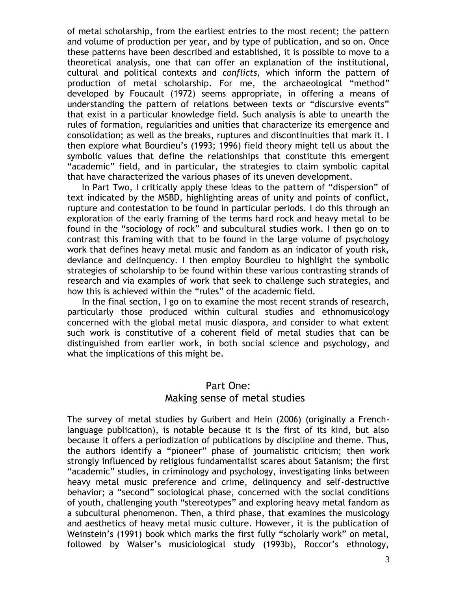of metal scholarship, from the earliest entries to the most recent; the pattern and volume of production per year, and by type of publication, and so on. Once these patterns have been described and established, it is possible to move to a theoretical analysis, one that can offer an explanation of the institutional, cultural and political contexts and *conflicts*, which inform the pattern of production of metal scholarship. For me, the archaeological "method" developed by Foucault (1972) seems appropriate, in offering a means of understanding the pattern of relations between texts or "discursive events" that exist in a particular knowledge field. Such analysis is able to unearth the rules of formation, regularities and unities that characterize its emergence and consolidation; as well as the breaks, ruptures and discontinuities that mark it. I then explore what Bourdieu's (1993; 1996) field theory might tell us about the symbolic values that define the relationships that constitute this emergent "academic" field, and in particular, the strategies to claim symbolic capital that have characterized the various phases of its uneven development.

In Part Two, I critically apply these ideas to the pattern of "dispersion" of text indicated by the MSBD, highlighting areas of unity and points of conflict, rupture and contestation to be found in particular periods. I do this through an exploration of the early framing of the terms hard rock and heavy metal to be found in the "sociology of rock" and subcultural studies work. I then go on to contrast this framing with that to be found in the large volume of psychology work that defines heavy metal music and fandom as an indicator of youth risk, deviance and delinquency. I then employ Bourdieu to highlight the symbolic strategies of scholarship to be found within these various contrasting strands of research and via examples of work that seek to challenge such strategies, and how this is achieved within the "rules" of the academic field.

In the final section, I go on to examine the most recent strands of research, particularly those produced within cultural studies and ethnomusicology concerned with the global metal music diaspora, and consider to what extent such work is constitutive of a coherent field of metal studies that can be distinguished from earlier work, in both social science and psychology, and what the implications of this might be.

#### Part One: Making sense of metal studies

The survey of metal studies by Guibert and Hein (2006) (originally a Frenchlanguage publication), is notable because it is the first of its kind, but also because it offers a periodization of publications by discipline and theme. Thus, the authors identify a "pioneer" phase of journalistic criticism; then work strongly influenced by religious fundamentalist scares about Satanism; the first "academic" studies, in criminology and psychology, investigating links between heavy metal music preference and crime, delinquency and self-destructive behavior; a "second" sociological phase, concerned with the social conditions of youth, challenging youth "stereotypes" and exploring heavy metal fandom as a subcultural phenomenon. Then, a third phase, that examines the musicology and aesthetics of heavy metal music culture. However, it is the publication of Weinstein's (1991) book which marks the first fully "scholarly work" on metal, followed by Walser's musiciological study (1993b), Roccor's ethnology,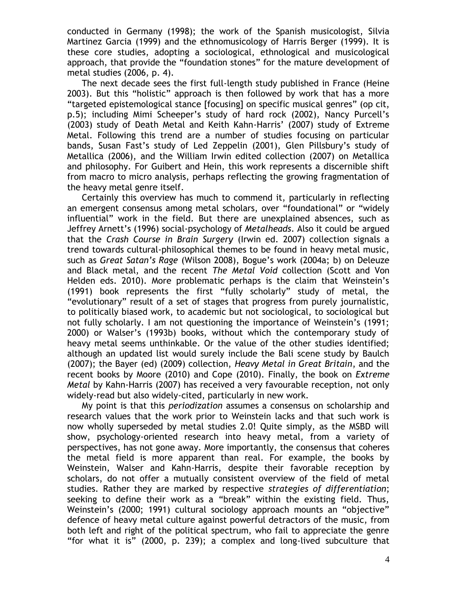conducted in Germany (1998); the work of the Spanish musicologist, Silvia Martinez Garcia (1999) and the ethnomusicology of Harris Berger (1999). It is these core studies, adopting a sociological, ethnological and musicological approach, that provide the "foundation stones" for the mature development of metal studies (2006, p. 4).

The next decade sees the first full-length study published in France (Heine 2003). But this "holistic" approach is then followed by work that has a more "targeted epistemological stance [focusing] on specific musical genres" (op cit, p.5); including Mimi Scheeper's study of hard rock (2002), Nancy Purcell's (2003) study of Death Metal and Keith Kahn-Harris' (2007) study of Extreme Metal. Following this trend are a number of studies focusing on particular bands, Susan Fast's study of Led Zeppelin (2001), Glen Pillsbury's study of Metallica (2006), and the William Irwin edited collection (2007) on Metallica and philosophy. For Guibert and Hein, this work represents a discernible shift from macro to micro analysis, perhaps reflecting the growing fragmentation of the heavy metal genre itself.

Certainly this overview has much to commend it, particularly in reflecting an emergent consensus among metal scholars, over "foundational" or "widely influential" work in the field. But there are unexplained absences, such as Jeffrey Arnett's (1996) social-psychology of *Metalheads*. Also it could be argued that the *Crash Course in Brain Surgery* (Irwin ed. 2007) collection signals a trend towards cultural-philosophical themes to be found in heavy metal music, such as *Great Satan's Rage* (Wilson 2008), Bogue's work (2004a; b) on Deleuze and Black metal, and the recent *The Metal Void* collection (Scott and Von Helden eds. 2010). More problematic perhaps is the claim that Weinstein's (1991) book represents the first "fully scholarly" study of metal, the "evolutionary" result of a set of stages that progress from purely journalistic, to politically biased work, to academic but not sociological, to sociological but not fully scholarly. I am not questioning the importance of Weinstein's (1991; 2000) or Walser's (1993b) books, without which the contemporary study of heavy metal seems unthinkable. Or the value of the other studies identified; although an updated list would surely include the Bali scene study by Baulch (2007); the Bayer (ed) (2009) collection, *Heavy Metal in Great Britain*, and the recent books by Moore (2010) and Cope (2010). Finally, the book on *Extreme Metal* by Kahn-Harris (2007) has received a very favourable reception, not only widely-read but also widely-cited, particularly in new work.

My point is that this *periodization* assumes a consensus on scholarship and research values that the work prior to Weinstein lacks and that such work is now wholly superseded by metal studies 2.0! Quite simply, as the MSBD will show, psychology-oriented research into heavy metal, from a variety of perspectives, has not gone away. More importantly, the consensus that coheres the metal field is more apparent than real. For example, the books by Weinstein, Walser and Kahn-Harris, despite their favorable reception by scholars, do not offer a mutually consistent overview of the field of metal studies. Rather they are marked by respective *strategies of differentiation*; seeking to define their work as a "break" within the existing field. Thus, Weinstein's (2000; 1991) cultural sociology approach mounts an "objective" defence of heavy metal culture against powerful detractors of the music, from both left and right of the political spectrum, who fail to appreciate the genre "for what it is" (2000, p. 239); a complex and long-lived subculture that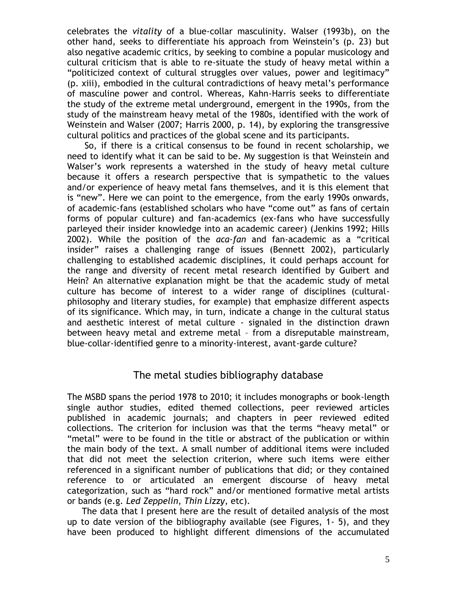celebrates the *vitality* of a blue-collar masculinity. Walser (1993b), on the other hand, seeks to differentiate his approach from Weinstein's (p. 23) but also negative academic critics, by seeking to combine a popular musicology and cultural criticism that is able to re-situate the study of heavy metal within a "politicized context of cultural struggles over values, power and legitimacy" (p. xiii), embodied in the cultural contradictions of heavy metal's performance of masculine power and control. Whereas, Kahn-Harris seeks to differentiate the study of the extreme metal underground, emergent in the 1990s, from the study of the mainstream heavy metal of the 1980s, identified with the work of Weinstein and Walser (2007; Harris 2000, p. 14), by exploring the transgressive cultural politics and practices of the global scene and its participants.

So, if there is a critical consensus to be found in recent scholarship, we need to identify what it can be said to be. My suggestion is that Weinstein and Walser's work represents a watershed in the study of heavy metal culture because it offers a research perspective that is sympathetic to the values and/or experience of heavy metal fans themselves, and it is this element that is "new". Here we can point to the emergence, from the early 1990s onwards, of academic-fans (established scholars who have "come out" as fans of certain forms of popular culture) and fan-academics (ex-fans who have successfully parleyed their insider knowledge into an academic career) (Jenkins 1992; Hills 2002). While the position of the *aca-fan* and fan-academic as a "critical insider" raises a challenging range of issues (Bennett 2002), particularly challenging to established academic disciplines, it could perhaps account for the range and diversity of recent metal research identified by Guibert and Hein? An alternative explanation might be that the academic study of metal culture has become of interest to a wider range of disciplines (culturalphilosophy and literary studies, for example) that emphasize different aspects of its significance. Which may, in turn, indicate a change in the cultural status and aesthetic interest of metal culture - signaled in the distinction drawn between heavy metal and extreme metal – from a disreputable mainstream, blue-collar-identified genre to a minority-interest, avant-garde culture?

#### The metal studies bibliography database

The MSBD spans the period 1978 to 2010; it includes monographs or book-length single author studies, edited themed collections, peer reviewed articles published in academic journals; and chapters in peer reviewed edited collections. The criterion for inclusion was that the terms "heavy metal" or "metal" were to be found in the title or abstract of the publication or within the main body of the text. A small number of additional items were included that did not meet the selection criterion, where such items were either referenced in a significant number of publications that did; or they contained reference to or articulated an emergent discourse of heavy metal categorization, such as "hard rock" and/or mentioned formative metal artists or bands (e.g. *Led Zeppelin*, *Thin Lizzy*, etc).

The data that I present here are the result of detailed analysis of the most up to date version of the bibliography available (see Figures, 1- 5), and they have been produced to highlight different dimensions of the accumulated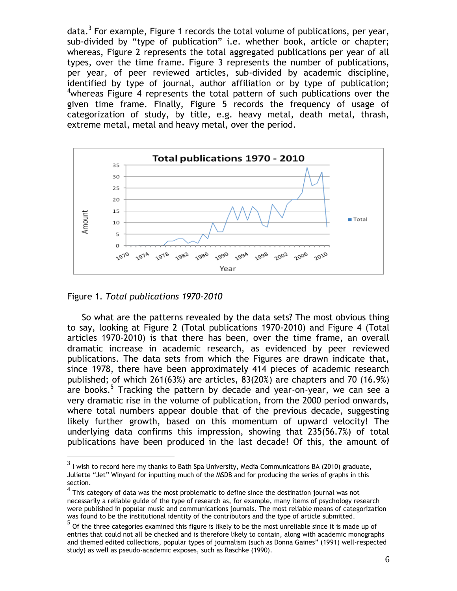data. $^3$  For example, Figure 1 records the total volume of publications, per year, sub-divided by "type of publication" i.e. whether book, article or chapter; whereas, Figure 2 represents the total aggregated publications per year of all types, over the time frame. Figure 3 represents the number of publications, per year, of peer reviewed articles, sub-divided by academic discipline, identified by type of journal, author affiliation or by type of publication; <sup>4</sup>whereas Figure 4 represents the total pattern of such publications over the given time frame. Finally, Figure 5 records the frequency of usage of categorization of study, by title, e.g. heavy metal, death metal, thrash, extreme metal, metal and heavy metal, over the period.



Figure 1. *Total publications 1970-2010*

 $\overline{a}$ 

So what are the patterns revealed by the data sets? The most obvious thing to say, looking at Figure 2 (Total publications 1970-2010) and Figure 4 (Total articles 1970-2010) is that there has been, over the time frame, an overall dramatic increase in academic research, as evidenced by peer reviewed publications. The data sets from which the Figures are drawn indicate that, since 1978, there have been approximately 414 pieces of academic research published; of which 261(63%) are articles, 83(20%) are chapters and 70 (16.9%) are books.<sup>5</sup> Tracking the pattern by decade and year-on-year, we can see a very dramatic rise in the volume of publication, from the 2000 period onwards, where total numbers appear double that of the previous decade, suggesting likely further growth, based on this momentum of upward velocity! The underlying data confirms this impression, showing that 235(56.7%) of total publications have been produced in the last decade! Of this, the amount of

 $^3$  I wish to record here my thanks to Bath Spa University, Media Communications BA (2010) graduate, Juliette "Jet" Winyard for inputting much of the MSDB and for producing the series of graphs in this section.

 $^4$  This category of data was the most problematic to define since the destination journal was not necessarily a reliable guide of the type of research as, for example, many items of psychology research were published in popular music and communications journals. The most reliable means of categorization was found to be the institutional identity of the contributors and the type of article submitted.

<sup>5</sup> Of the three categories examined this figure is likely to be the most unreliable since it is made up of entries that could not all be checked and is therefore likely to contain, along with academic monographs and themed edited collections, popular types of journalism (such as Donna Gaines" (1991) well-respected study) as well as pseudo-academic exposes, such as Raschke (1990).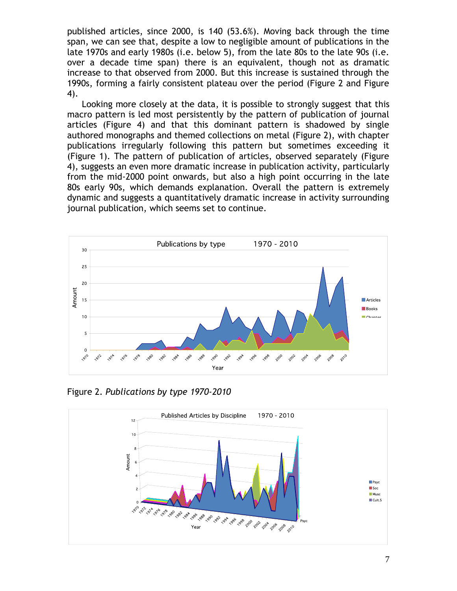published articles, since 2000, is 140 (53.6%). Moving back through the time span, we can see that, despite a low to negligible amount of publications in the late 1970s and early 1980s (i.e. below 5), from the late 80s to the late 90s (i.e. over a decade time span) there is an equivalent, though not as dramatic increase to that observed from 2000. But this increase is sustained through the 1990s, forming a fairly consistent plateau over the period (Figure 2 and Figure 4).

Looking more closely at the data, it is possible to strongly suggest that this macro pattern is led most persistently by the pattern of publication of journal articles (Figure 4) and that this dominant pattern is shadowed by single authored monographs and themed collections on metal (Figure 2), with chapter publications irregularly following this pattern but sometimes exceeding it (Figure 1). The pattern of publication of articles, observed separately (Figure 4), suggests an even more dramatic increase in publication activity, particularly from the mid-2000 point onwards, but also a high point occurring in the late 80s early 90s, which demands explanation. Overall the pattern is extremely dynamic and suggests a quantitatively dramatic increase in activity surrounding journal publication, which seems set to continue.



Figure 2. *Publications by type 1970-2010*

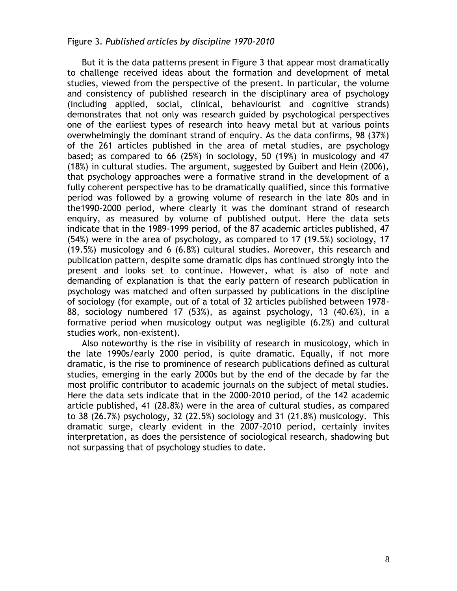#### Figure 3. *Published articles by discipline 1970-2010*

But it is the data patterns present in Figure 3 that appear most dramatically to challenge received ideas about the formation and development of metal studies, viewed from the perspective of the present. In particular, the volume and consistency of published research in the disciplinary area of psychology (including applied, social, clinical, behaviourist and cognitive strands) demonstrates that not only was research guided by psychological perspectives one of the earliest types of research into heavy metal but at various points overwhelmingly the dominant strand of enquiry. As the data confirms, 98 (37%) of the 261 articles published in the area of metal studies, are psychology based; as compared to 66 (25%) in sociology, 50 (19%) in musicology and 47 (18%) in cultural studies. The argument, suggested by Guibert and Hein (2006), that psychology approaches were a formative strand in the development of a fully coherent perspective has to be dramatically qualified, since this formative period was followed by a growing volume of research in the late 80s and in the1990-2000 period, where clearly it was the dominant strand of research enquiry, as measured by volume of published output. Here the data sets indicate that in the 1989-1999 period, of the 87 academic articles published, 47  $(54%)$  were in the area of psychology, as compared to 17 (19.5%) sociology, 17 (19.5%) musicology and 6 (6.8%) cultural studies. Moreover, this research and publication pattern, despite some dramatic dips has continued strongly into the present and looks set to continue. However, what is also of note and demanding of explanation is that the early pattern of research publication in psychology was matched and often surpassed by publications in the discipline of sociology (for example, out of a total of 32 articles published between 1978- 88, sociology numbered 17 (53%), as against psychology, 13 (40.6%), in a formative period when musicology output was negligible (6.2%) and cultural studies work, non-existent).

Also noteworthy is the rise in visibility of research in musicology, which in the late 1990s/early 2000 period, is quite dramatic. Equally, if not more dramatic, is the rise to prominence of research publications defined as cultural studies, emerging in the early 2000s but by the end of the decade by far the most prolific contributor to academic journals on the subject of metal studies. Here the data sets indicate that in the 2000-2010 period, of the 142 academic article published, 41 (28.8%) were in the area of cultural studies, as compared to 38 (26.7%) psychology, 32 (22.5%) sociology and 31 (21.8%) musicology. This dramatic surge, clearly evident in the 2007-2010 period, certainly invites interpretation, as does the persistence of sociological research, shadowing but not surpassing that of psychology studies to date.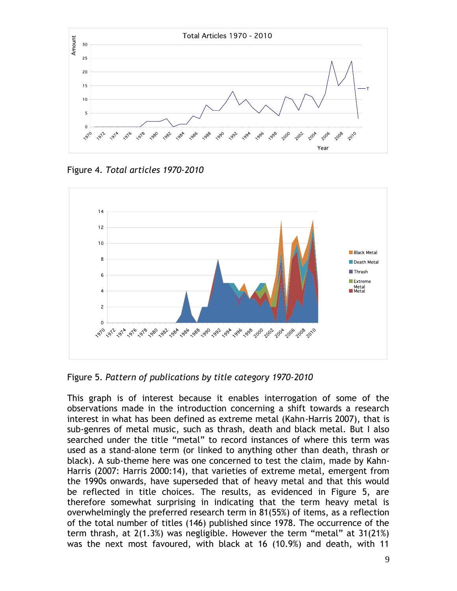

Figure 4. *Total articles 1970-2010*



Figure 5. *Pattern of publications by title category 1970-2010*

This graph is of interest because it enables interrogation of some of the observations made in the introduction concerning a shift towards a research interest in what has been defined as extreme metal (Kahn-Harris 2007), that is sub-genres of metal music, such as thrash, death and black metal. But I also searched under the title "metal" to record instances of where this term was used as a stand-alone term (or linked to anything other than death, thrash or black). A sub-theme here was one concerned to test the claim, made by Kahn-Harris (2007: Harris 2000:14), that varieties of extreme metal, emergent from the 1990s onwards, have superseded that of heavy metal and that this would be reflected in title choices. The results, as evidenced in Figure 5, are therefore somewhat surprising in indicating that the term heavy metal is overwhelmingly the preferred research term in 81(55%) of items, as a reflection of the total number of titles (146) published since 1978. The occurrence of the term thrash, at 2(1.3%) was negligible. However the term "metal" at 31(21%) was the next most favoured, with black at 16 (10.9%) and death, with 11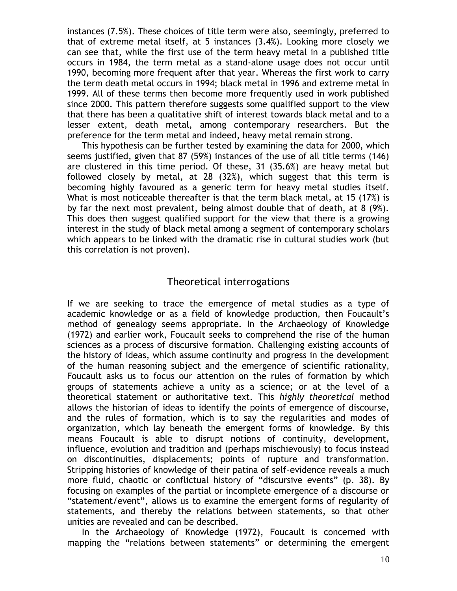instances (7.5%). These choices of title term were also, seemingly, preferred to that of extreme metal itself, at 5 instances (3.4%). Looking more closely we can see that, while the first use of the term heavy metal in a published title occurs in 1984, the term metal as a stand-alone usage does not occur until 1990, becoming more frequent after that year. Whereas the first work to carry the term death metal occurs in 1994; black metal in 1996 and extreme metal in 1999. All of these terms then become more frequently used in work published since 2000. This pattern therefore suggests some qualified support to the view that there has been a qualitative shift of interest towards black metal and to a lesser extent, death metal, among contemporary researchers. But the preference for the term metal and indeed, heavy metal remain strong.

This hypothesis can be further tested by examining the data for 2000, which seems justified, given that 87 (59%) instances of the use of all title terms (146) are clustered in this time period. Of these, 31 (35.6%) are heavy metal but followed closely by metal, at 28 (32%), which suggest that this term is becoming highly favoured as a generic term for heavy metal studies itself. What is most noticeable thereafter is that the term black metal, at 15 (17%) is by far the next most prevalent, being almost double that of death, at 8 (9%). This does then suggest qualified support for the view that there is a growing interest in the study of black metal among a segment of contemporary scholars which appears to be linked with the dramatic rise in cultural studies work (but this correlation is not proven).

#### Theoretical interrogations

If we are seeking to trace the emergence of metal studies as a type of academic knowledge or as a field of knowledge production, then Foucault's method of genealogy seems appropriate. In the Archaeology of Knowledge (1972) and earlier work, Foucault seeks to comprehend the rise of the human sciences as a process of discursive formation. Challenging existing accounts of the history of ideas, which assume continuity and progress in the development of the human reasoning subject and the emergence of scientific rationality, Foucault asks us to focus our attention on the rules of formation by which groups of statements achieve a unity as a science; or at the level of a theoretical statement or authoritative text. This *highly theoretical* method allows the historian of ideas to identify the points of emergence of discourse, and the rules of formation, which is to say the regularities and modes of organization, which lay beneath the emergent forms of knowledge. By this means Foucault is able to disrupt notions of continuity, development, influence, evolution and tradition and (perhaps mischievously) to focus instead on discontinuities, displacements; points of rupture and transformation. Stripping histories of knowledge of their patina of self-evidence reveals a much more fluid, chaotic or conflictual history of "discursive events" (p. 38). By focusing on examples of the partial or incomplete emergence of a discourse or "statement/event", allows us to examine the emergent forms of regularity of statements, and thereby the relations between statements, so that other unities are revealed and can be described.

In the Archaeology of Knowledge (1972), Foucault is concerned with mapping the "relations between statements" or determining the emergent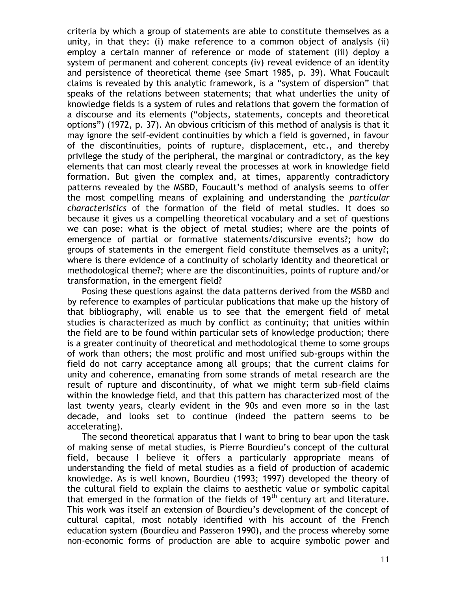criteria by which a group of statements are able to constitute themselves as a unity, in that they: (i) make reference to a common object of analysis (ii) employ a certain manner of reference or mode of statement (iii) deploy a system of permanent and coherent concepts (iv) reveal evidence of an identity and persistence of theoretical theme (see Smart 1985, p. 39). What Foucault claims is revealed by this analytic framework, is a "system of dispersion" that speaks of the relations between statements; that what underlies the unity of knowledge fields is a system of rules and relations that govern the formation of a discourse and its elements ("objects, statements, concepts and theoretical options") (1972, p. 37). An obvious criticism of this method of analysis is that it may ignore the self-evident continuities by which a field is governed, in favour of the discontinuities, points of rupture, displacement, etc., and thereby privilege the study of the peripheral, the marginal or contradictory, as the key elements that can most clearly reveal the processes at work in knowledge field formation. But given the complex and, at times, apparently contradictory patterns revealed by the MSBD, Foucault's method of analysis seems to offer the most compelling means of explaining and understanding the *particular characteristics* of the formation of the field of metal studies. It does so because it gives us a compelling theoretical vocabulary and a set of questions we can pose: what is the object of metal studies; where are the points of emergence of partial or formative statements/discursive events?; how do groups of statements in the emergent field constitute themselves as a unity?; where is there evidence of a continuity of scholarly identity and theoretical or methodological theme?; where are the discontinuities, points of rupture and/or transformation, in the emergent field?

Posing these questions against the data patterns derived from the MSBD and by reference to examples of particular publications that make up the history of that bibliography, will enable us to see that the emergent field of metal studies is characterized as much by conflict as continuity; that unities within the field are to be found within particular sets of knowledge production; there is a greater continuity of theoretical and methodological theme to some groups of work than others; the most prolific and most unified sub-groups within the field do not carry acceptance among all groups; that the current claims for unity and coherence, emanating from some strands of metal research are the result of rupture and discontinuity, of what we might term sub-field claims within the knowledge field, and that this pattern has characterized most of the last twenty years, clearly evident in the 90s and even more so in the last decade, and looks set to continue (indeed the pattern seems to be accelerating).

The second theoretical apparatus that I want to bring to bear upon the task of making sense of metal studies, is Pierre Bourdieu's concept of the cultural field, because I believe it offers a particularly appropriate means of understanding the field of metal studies as a field of production of academic knowledge. As is well known, Bourdieu (1993; 1997) developed the theory of the cultural field to explain the claims to aesthetic value or symbolic capital that emerged in the formation of the fields of  $19<sup>th</sup>$  century art and literature. This work was itself an extension of Bourdieu's development of the concept of cultural capital, most notably identified with his account of the French education system (Bourdieu and Passeron 1990), and the process whereby some non-economic forms of production are able to acquire symbolic power and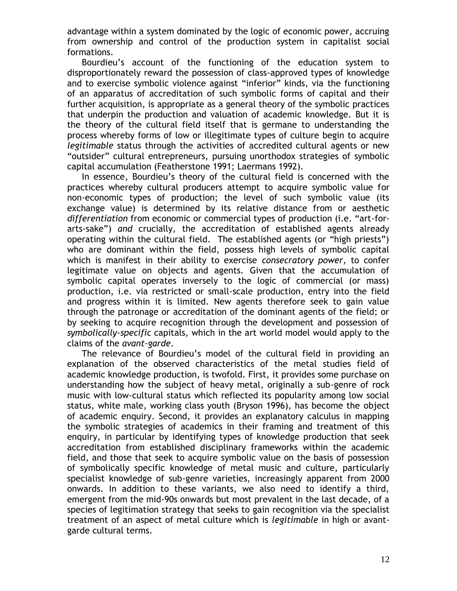advantage within a system dominated by the logic of economic power, accruing from ownership and control of the production system in capitalist social formations.

Bourdieu's account of the functioning of the education system to disproportionately reward the possession of class-approved types of knowledge and to exercise symbolic violence against "inferior" kinds, via the functioning of an apparatus of accreditation of such symbolic forms of capital and their further acquisition, is appropriate as a general theory of the symbolic practices that underpin the production and valuation of academic knowledge. But it is the theory of the cultural field itself that is germane to understanding the process whereby forms of low or illegitimate types of culture begin to acquire *legitimable* status through the activities of accredited cultural agents or new "outsider" cultural entrepreneurs, pursuing unorthodox strategies of symbolic capital accumulation (Featherstone 1991; Laermans 1992).

In essence, Bourdieu's theory of the cultural field is concerned with the practices whereby cultural producers attempt to acquire symbolic value for non-economic types of production; the level of such symbolic value (its exchange value) is determined by its relative distance from or aesthetic *differentiation* from economic or commercial types of production (i.e. "art-forarts-sake") *and* crucially, the accreditation of established agents already operating within the cultural field. The established agents (or "high priests") who are dominant within the field, possess high levels of symbolic capital which is manifest in their ability to exercise *consecratory power*, to confer legitimate value on objects and agents. Given that the accumulation of symbolic capital operates inversely to the logic of commercial (or mass) production, i.e. via restricted or small-scale production, entry into the field and progress within it is limited. New agents therefore seek to gain value through the patronage or accreditation of the dominant agents of the field; or by seeking to acquire recognition through the development and possession of *symbolically-specific* capitals, which in the art world model would apply to the claims of the *avant-garde*.

The relevance of Bourdieu's model of the cultural field in providing an explanation of the observed characteristics of the metal studies field of academic knowledge production, is twofold. First, it provides some purchase on understanding how the subject of heavy metal, originally a sub-genre of rock music with low-cultural status which reflected its popularity among low social status, white male, working class youth (Bryson 1996), has become the object of academic enquiry. Second, it provides an explanatory calculus in mapping the symbolic strategies of academics in their framing and treatment of this enquiry, in particular by identifying types of knowledge production that seek accreditation from established disciplinary frameworks within the academic field, and those that seek to acquire symbolic value on the basis of possession of symbolically specific knowledge of metal music and culture, particularly specialist knowledge of sub-genre varieties, increasingly apparent from 2000 onwards. In addition to these variants, we also need to identify a third, emergent from the mid-90s onwards but most prevalent in the last decade, of a species of legitimation strategy that seeks to gain recognition via the specialist treatment of an aspect of metal culture which is *legitimable* in high or avantgarde cultural terms.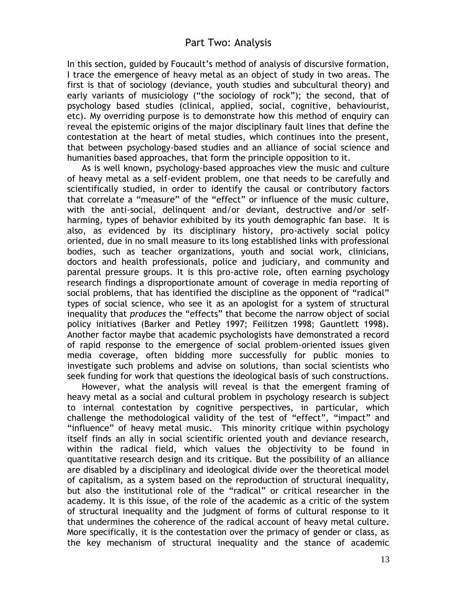In this section, guided by Foucault's method of analysis of discursive formation, I trace the emergence of heavy metal as an object of study in two areas. The first is that of sociology (deviance, youth studies and subcultural theory) and early variants of musiciology ("the sociology of rock"); the second, that of psychology based studies (clinical, applied, social, cognitive, behaviourist, etc). My overriding purpose is to demonstrate how this method of enquiry can reveal the epistemic origins of the major disciplinary fault lines that define the contestation at the heart of metal studies, which continues into the present, that between psychology-based studies and an alliance of social science and humanities based approaches, that form the principle opposition to it.

As is well known, psychology-based approaches view the music and culture of heavy metal as a self-evident problem, one that needs to be carefully and scientifically studied, in order to identify the causal or contributory factors that correlate a "measure" of the "effect" or influence of the music culture, with the anti-social, delinquent and/or deviant, destructive and/or selfharming, types of behavior exhibited by its youth demographic fan base. It is also, as evidenced by its disciplinary history, pro-actively social policy oriented, due in no small measure to its long established links with professional bodies, such as teacher organizations, youth and social work, clinicians, doctors and health professionals, police and judiciary, and community and parental pressure groups. It is this pro-active role, often earning psychology research findings a disproportionate amount of coverage in media reporting of social problems, that has identified the discipline as the opponent of "radical" types of social science, who see it as an apologist for a system of structural inequality that *produces* the "effects" that become the narrow object of social policy initiatives (Barker and Petley 1997; Feilitzen 1998; Gauntlett 1998). Another factor maybe that academic psychologists have demonstrated a record of rapid response to the emergence of social problem-oriented issues given media coverage, often bidding more successfully for public monies to investigate such problems and advise on solutions, than social scientists who seek funding for work that questions the ideological basis of such constructions.

However, what the analysis will reveal is that the emergent framing of heavy metal as a social and cultural problem in psychology research is subject to internal contestation by cognitive perspectives, in particular, which challenge the methodological validity of the test of "effect", "impact" and "influence" of heavy metal music. This minority critique within psychology itself finds an ally in social scientific oriented youth and deviance research, within the radical field, which values the objectivity to be found in quantitative research design and its critique. But the possibility of an alliance are disabled by a disciplinary and ideological divide over the theoretical model of capitalism, as a system based on the reproduction of structural inequality, but also the institutional role of the "radical" or critical researcher in the academy. It is this issue, of the role of the academic as a critic of the system of structural inequality and the judgment of forms of cultural response to it that undermines the coherence of the radical account of heavy metal culture. More specifically, it is the contestation over the primacy of gender or class, as the key mechanism of structural inequality and the stance of academic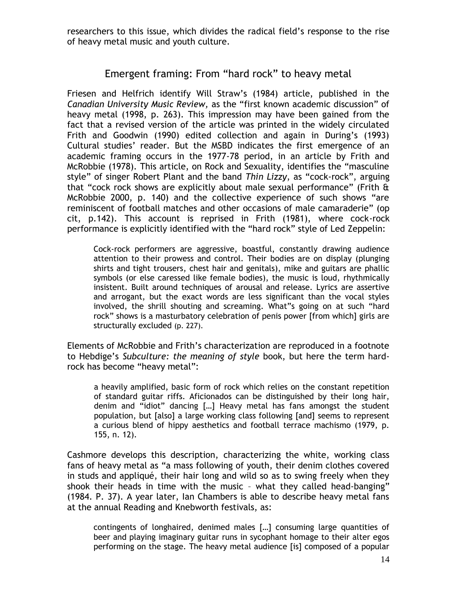researchers to this issue, which divides the radical field's response to the rise of heavy metal music and youth culture.

#### Emergent framing: From "hard rock" to heavy metal

Friesen and Helfrich identify Will Straw's (1984) article, published in the *Canadian University Music Review,* as the "first known academic discussion" of heavy metal (1998, p. 263). This impression may have been gained from the fact that a revised version of the article was printed in the widely circulated Frith and Goodwin (1990) edited collection and again in During's (1993) Cultural studies' reader. But the MSBD indicates the first emergence of an academic framing occurs in the 1977-78 period, in an article by Frith and McRobbie (1978). This article, on Rock and Sexuality, identifies the "masculine style" of singer Robert Plant and the band *Thin Lizzy*, as "cock-rock", arguing that "cock rock shows are explicitly about male sexual performance" (Frith & McRobbie 2000, p. 140) and the collective experience of such shows "are reminiscent of football matches and other occasions of male camaraderie" (op cit, p.142). This account is reprised in Frith (1981), where cock-rock performance is explicitly identified with the "hard rock" style of Led Zeppelin:

Cock-rock performers are aggressive, boastful, constantly drawing audience attention to their prowess and control. Their bodies are on display (plunging shirts and tight trousers, chest hair and genitals), mike and guitars are phallic symbols (or else caressed like female bodies), the music is loud, rhythmically insistent. Built around techniques of arousal and release. Lyrics are assertive and arrogant, but the exact words are less significant than the vocal styles involved, the shrill shouting and screaming. What"s going on at such "hard rock" shows is a masturbatory celebration of penis power [from which] girls are structurally excluded (p. 227).

Elements of McRobbie and Frith's characterization are reproduced in a footnote to Hebdige's *Subculture: the meaning of style* book, but here the term hardrock has become "heavy metal":

a heavily amplified, basic form of rock which relies on the constant repetition of standard guitar riffs. Aficionados can be distinguished by their long hair, denim and "idiot" dancing […] Heavy metal has fans amongst the student population, but [also] a large working class following [and] seems to represent a curious blend of hippy aesthetics and football terrace machismo (1979, p. 155, n. 12).

Cashmore develops this description, characterizing the white, working class fans of heavy metal as "a mass following of youth, their denim clothes covered in studs and appliqué, their hair long and wild so as to swing freely when they shook their heads in time with the music – what they called head-banging" (1984. P. 37). A year later, Ian Chambers is able to describe heavy metal fans at the annual Reading and Knebworth festivals, as:

contingents of longhaired, denimed males […] consuming large quantities of beer and playing imaginary guitar runs in sycophant homage to their alter egos performing on the stage. The heavy metal audience [is] composed of a popular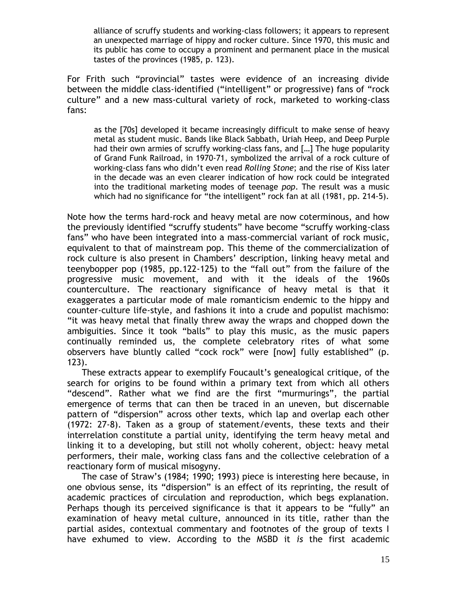alliance of scruffy students and working-class followers; it appears to represent an unexpected marriage of hippy and rocker culture. Since 1970, this music and its public has come to occupy a prominent and permanent place in the musical tastes of the provinces (1985, p. 123).

For Frith such "provincial" tastes were evidence of an increasing divide between the middle class-identified ("intelligent" or progressive) fans of "rock culture" and a new mass-cultural variety of rock, marketed to working-class fans:

as the [70s] developed it became increasingly difficult to make sense of heavy metal as student music. Bands like Black Sabbath, Uriah Heep, and Deep Purple had their own armies of scruffy working-class fans, and […] The huge popularity of Grand Funk Railroad, in 1970-71, symbolized the arrival of a rock culture of working-class fans who didn't even read *Rolling Stone*; and the rise of Kiss later in the decade was an even clearer indication of how rock could be integrated into the traditional marketing modes of teenage *pop*. The result was a music which had no significance for "the intelligent" rock fan at all (1981, pp. 214-5).

Note how the terms hard-rock and heavy metal are now coterminous, and how the previously identified "scruffy students" have become "scruffy working-class fans" who have been integrated into a mass-commercial variant of rock music, equivalent to that of mainstream pop. This theme of the commercialization of rock culture is also present in Chambers' description, linking heavy metal and teenybopper pop (1985, pp.122-125) to the "fall out" from the failure of the progressive music movement, and with it the ideals of the 1960s counterculture. The reactionary significance of heavy metal is that it exaggerates a particular mode of male romanticism endemic to the hippy and counter-culture life-style, and fashions it into a crude and populist machismo: "it was heavy metal that finally threw away the wraps and chopped down the ambiguities. Since it took "balls" to play this music, as the music papers continually reminded us, the complete celebratory rites of what some observers have bluntly called "cock rock" were [now] fully established" (p. 123).

These extracts appear to exemplify Foucault's genealogical critique, of the search for origins to be found within a primary text from which all others "descend". Rather what we find are the first "murmurings", the partial emergence of terms that can then be traced in an uneven, but discernable pattern of "dispersion" across other texts, which lap and overlap each other (1972: 27-8). Taken as a group of statement/events, these texts and their interrelation constitute a partial unity, identifying the term heavy metal and linking it to a developing, but still not wholly coherent, object: heavy metal performers, their male, working class fans and the collective celebration of a reactionary form of musical misogyny.

The case of Straw's (1984; 1990; 1993) piece is interesting here because, in one obvious sense, its "dispersion" is an effect of its reprinting, the result of academic practices of circulation and reproduction, which begs explanation. Perhaps though its perceived significance is that it appears to be "fully" an examination of heavy metal culture, announced in its title, rather than the partial asides, contextual commentary and footnotes of the group of texts I have exhumed to view. According to the MSBD it *is* the first academic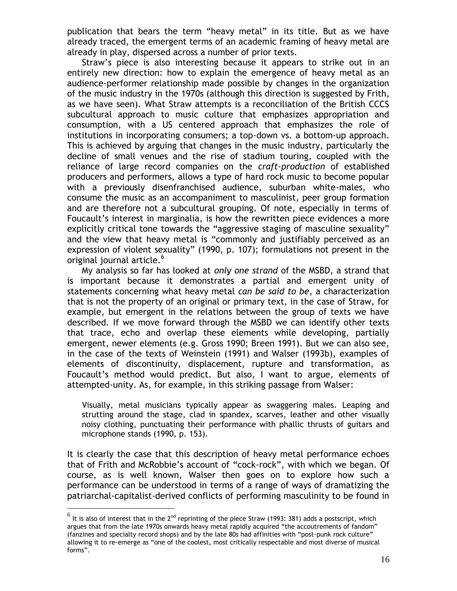publication that bears the term "heavy metal" in its title. But as we have already traced, the emergent terms of an academic framing of heavy metal are already in play, dispersed across a number of prior texts.

Straw's piece is also interesting because it appears to strike out in an entirely new direction: how to explain the emergence of heavy metal as an audience-performer relationship made possible by changes in the organization of the music industry in the 1970s (although this direction is suggested by Frith, as we have seen). What Straw attempts is a reconciliation of the British CCCS subcultural approach to music culture that emphasizes appropriation and consumption, with a US centered approach that emphasizes the role of institutions in incorporating consumers; a top-down vs. a bottom-up approach. This is achieved by arguing that changes in the music industry, particularly the decline of small venues and the rise of stadium touring, coupled with the reliance of large record companies on the *craft-production* of established producers and performers, allows a type of hard rock music to become popular with a previously disenfranchised audience, suburban white-males, who consume the music as an accompaniment to masculinist, peer group formation and are therefore not a subcultural grouping. Of note, especially in terms of Foucault's interest in marginalia, is how the rewritten piece evidences a more explicitly critical tone towards the "aggressive staging of masculine sexuality" and the view that heavy metal is "commonly and justifiably perceived as an expression of violent sexuality" (1990, p. 107); formulations not present in the original journal article.<sup>6</sup>

My analysis so far has looked at *only one strand* of the MSBD, a strand that is important because it demonstrates a partial and emergent unity of statements concerning what heavy metal *can be said to be*, a characterization that is not the property of an original or primary text, in the case of Straw, for example, but emergent in the relations between the group of texts we have described. If we move forward through the MSBD we can identify other texts that trace, echo and overlap these elements while developing, partially emergent, newer elements (e.g. Gross 1990; Breen 1991). But we can also see, in the case of the texts of Weinstein (1991) and Walser (1993b), examples of elements of discontinuity, displacement, rupture and transformation, as Foucault's method would predict. But also, I want to argue, elements of attempted-unity. As, for example, in this striking passage from Walser:

Visually, metal musicians typically appear as swaggering males. Leaping and strutting around the stage, clad in spandex, scarves, leather and other visually noisy clothing, punctuating their performance with phallic thrusts of guitars and microphone stands (1990, p. 153).

It is clearly the case that this description of heavy metal performance echoes that of Frith and McRobbie's account of "cock-rock", with which we began. Of course, as is well known, Walser then goes on to explore how such a performance can be understood in terms of a range of ways of dramatizing the patriarchal-capitalist-derived conflicts of performing masculinity to be found in

 $^6$  It is also of interest that in the 2<sup>nd</sup> reprinting of the piece Straw (1993: 381) adds a postscript, which argues that from the late 1970s onwards heavy metal rapidly acquired "the accoutrements of fandom" (fanzines and specialty record shops) and by the late 80s had affinities with "post-punk rock culture" allowing it to re-emerge as "one of the coolest, most critically respectable and most diverse of musical forms".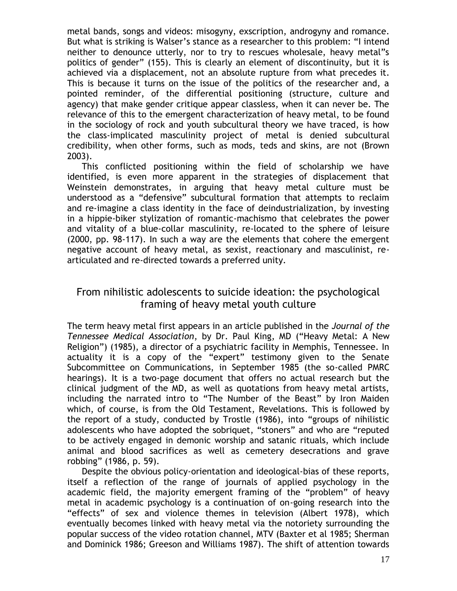metal bands, songs and videos: misogyny, exscription, androgyny and romance. But what is striking is Walser's stance as a researcher to this problem: "I intend neither to denounce utterly, nor to try to rescues wholesale, heavy metal"s politics of gender" (155). This is clearly an element of discontinuity, but it is achieved via a displacement, not an absolute rupture from what precedes it. This is because it turns on the issue of the politics of the researcher and, a pointed reminder, of the differential positioning (structure, culture and agency) that make gender critique appear classless, when it can never be. The relevance of this to the emergent characterization of heavy metal, to be found in the sociology of rock and youth subcultural theory we have traced, is how the class-implicated masculinity project of metal is denied subcultural credibility, when other forms, such as mods, teds and skins, are not (Brown 2003).

This conflicted positioning within the field of scholarship we have identified, is even more apparent in the strategies of displacement that Weinstein demonstrates, in arguing that heavy metal culture must be understood as a "defensive" subcultural formation that attempts to reclaim and re-imagine a class identity in the face of deindustrialization, by investing in a hippie-biker stylization of romantic-machismo that celebrates the power and vitality of a blue-collar masculinity, re-located to the sphere of leisure (2000, pp. 98-117). In such a way are the elements that cohere the emergent negative account of heavy metal, as sexist, reactionary and masculinist, rearticulated and re-directed towards a preferred unity.

#### From nihilistic adolescents to suicide ideation: the psychological framing of heavy metal youth culture

The term heavy metal first appears in an article published in the *Journal of the Tennessee Medical Association*, by Dr. Paul King, MD ("Heavy Metal: A New Religion") (1985), a director of a psychiatric facility in Memphis, Tennessee. In actuality it is a copy of the "expert" testimony given to the Senate Subcommittee on Communications, in September 1985 (the so-called PMRC hearings). It is a two-page document that offers no actual research but the clinical judgment of the MD, as well as quotations from heavy metal artists, including the narrated intro to "The Number of the Beast" by Iron Maiden which, of course, is from the Old Testament, Revelations. This is followed by the report of a study, conducted by Trostle (1986), into "groups of nihilistic adolescents who have adopted the sobriquet, "stoners" and who are "reputed to be actively engaged in demonic worship and satanic rituals, which include animal and blood sacrifices as well as cemetery desecrations and grave robbing" (1986, p. 59).

Despite the obvious policy-orientation and ideological-bias of these reports, itself a reflection of the range of journals of applied psychology in the academic field, the majority emergent framing of the "problem" of heavy metal in academic psychology is a continuation of on-going research into the "effects" of sex and violence themes in television (Albert 1978), which eventually becomes linked with heavy metal via the notoriety surrounding the popular success of the video rotation channel, MTV (Baxter et al 1985; Sherman and Dominick 1986; Greeson and Williams 1987). The shift of attention towards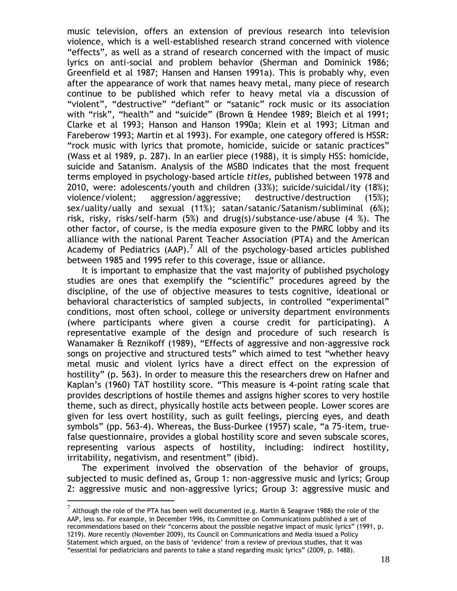music television, offers an extension of previous research into television violence, which is a well-established research strand concerned with violence "effects", as well as a strand of research concerned with the impact of music lyrics on anti-social and problem behavior (Sherman and Dominick 1986; Greenfield et al 1987; Hansen and Hansen 1991a). This is probably why, even after the appearance of work that names heavy metal, many piece of research continue to be published which refer to heavy metal via a discussion of "violent", "destructive" "defiant" or "satanic" rock music or its association with "risk", "health" and "suicide" (Brown & Hendee 1989; Bleich et al 1991; Clarke et al 1993; Hanson and Hanson 1990a; Klein et al 1993; Litman and Fareberow 1993; Martin et al 1993). For example, one category offered is HSSR: "rock music with lyrics that promote, homicide, suicide or satanic practices" (Wass et al 1989, p. 287). In an earlier piece (1988), it is simply HSS: homicide, suicide and Satanism. Analysis of the MSBD indicates that the most frequent terms employed in psychology-based article *titles*, published between 1978 and 2010, were: adolescents/youth and children (33%); suicide/suicidal/ity (18%); violence/violent; aggression/aggressive; destructive/destruction (15%); sex/uality/ually and sexual (11%); satan/satanic/Satanism/subliminal (6%); risk, risky, risks/self-harm (5%) and drug(s)/substance-use/abuse (4 %). The other factor, of course, is the media exposure given to the PMRC lobby and its alliance with the national Parent Teacher Association (PTA) and the American Academy of Pediatrics (AAP).<sup>7</sup> All of the psychology-based articles published between 1985 and 1995 refer to this coverage, issue or alliance.

It is important to emphasize that the vast majority of published psychology studies are ones that exemplify the "scientific" procedures agreed by the discipline, of the use of objective measures to tests cognitive, ideational or behavioral characteristics of sampled subjects, in controlled "experimental" conditions, most often school, college or university department environments (where participants where given a course credit for participating). A representative example of the design and procedure of such research is Wanamaker & Reznikoff (1989), "Effects of aggressive and non-aggressive rock songs on projective and structured tests" which aimed to test "whether heavy metal music and violent lyrics have a direct effect on the expression of hostility" (p. 563). In order to measure this the researchers drew on Hafner and Kaplan's (1960) TAT hostility score. "This measure is 4-point rating scale that provides descriptions of hostile themes and assigns higher scores to very hostile theme, such as direct, physically hostile acts between people. Lower scores are given for less overt hostility, such as guilt feelings, piercing eyes, and death symbols" (pp. 563-4). Whereas, the Buss-Durkee (1957) scale, "a 75-item, truefalse questionnaire, provides a global hostility score and seven subscale scores, representing various aspects of hostility, including: indirect hostility, irritability, negativism, and resentment" (ibid).

The experiment involved the observation of the behavior of groups, subjected to music defined as, Group 1: non-aggressive music and lyrics; Group 2: aggressive music and non-aggressive lyrics; Group 3: aggressive music and

 $^7$  Although the role of the PTA has been well documented (e.g. Martin & Seagrave 1988) the role of the AAP, less so. For example, in December 1996, its Committee on Communications published a set of recommendations based on their "concerns about the possible negative impact of music lyrics" (1991, p. 1219). More recently (November 2009), its Council on Communications and Media issued a Policy Statement which argued, on the basis of 'evidence' from a review of previous studies, that it was "essential for pediatricians and parents to take a stand regarding music lyrics" (2009, p. 1488).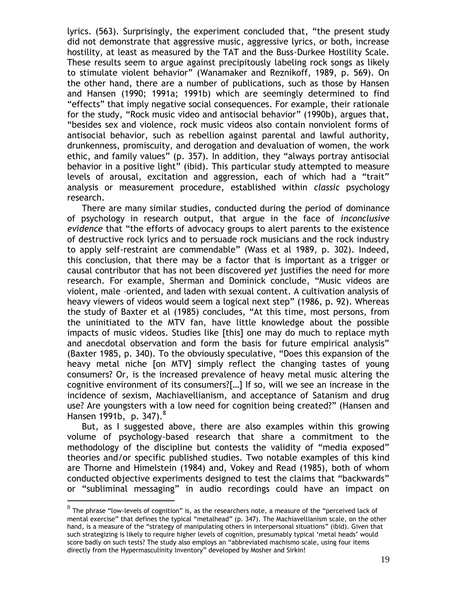lyrics. (563). Surprisingly, the experiment concluded that, "the present study did not demonstrate that aggressive music, aggressive lyrics, or both, increase hostility, at least as measured by the TAT and the Buss-Durkee Hostility Scale. These results seem to argue against precipitously labeling rock songs as likely to stimulate violent behavior" (Wanamaker and Reznikoff, 1989, p. 569). On the other hand, there are a number of publications, such as those by Hansen and Hansen (1990; 1991a; 1991b) which are seemingly determined to find "effects" that imply negative social consequences. For example, their rationale for the study, "Rock music video and antisocial behavior" (1990b), argues that, "besides sex and violence, rock music videos also contain nonviolent forms of antisocial behavior, such as rebellion against parental and lawful authority, drunkenness, promiscuity, and derogation and devaluation of women, the work ethic, and family values" (p. 357). In addition, they "always portray antisocial behavior in a positive light" (ibid). This particular study attempted to measure levels of arousal, excitation and aggression, each of which had a "trait" analysis or measurement procedure, established within *classic* psychology research.

There are many similar studies, conducted during the period of dominance of psychology in research output, that argue in the face of *inconclusive evidence* that "the efforts of advocacy groups to alert parents to the existence of destructive rock lyrics and to persuade rock musicians and the rock industry to apply self-restraint are commendable" (Wass et al 1989, p. 302). Indeed, this conclusion, that there may be a factor that is important as a trigger or causal contributor that has not been discovered *yet* justifies the need for more research. For example, Sherman and Dominick conclude, "Music videos are violent, male –oriented, and laden with sexual content. A cultivation analysis of heavy viewers of videos would seem a logical next step" (1986, p. 92). Whereas the study of Baxter et al (1985) concludes, "At this time, most persons, from the uninitiated to the MTV fan, have little knowledge about the possible impacts of music videos. Studies like [this] one may do much to replace myth and anecdotal observation and form the basis for future empirical analysis" (Baxter 1985, p. 340). To the obviously speculative, "Does this expansion of the heavy metal niche [on MTV] simply reflect the changing tastes of young consumers? Or, is the increased prevalence of heavy metal music altering the cognitive environment of its consumers?[…] If so, will we see an increase in the incidence of sexism, Machiavellianism, and acceptance of Satanism and drug use? Are youngsters with a low need for cognition being created?" (Hansen and Hansen 1991b, p. 347).<sup>8</sup>

But, as I suggested above, there are also examples within this growing volume of psychology-based research that share a commitment to the methodology of the discipline but contests the validity of "media exposed" theories and/or specific published studies. Two notable examples of this kind are Thorne and Himelstein (1984) and, Vokey and Read (1985), both of whom conducted objective experiments designed to test the claims that "backwards" or "subliminal messaging" in audio recordings could have an impact on

 $^8$  The phrase "low-levels of cognition" is, as the researchers note, a measure of the "perceived lack of mental exercise" that defines the typical "metalhead" (p. 347). The Machiavellianism scale, on the other hand, is a measure of the "strategy of manipulating others in interpersonal situations" (ibid). Given that such strategizing is likely to require higher levels of cognition, presumably typical 'metal heads' would score badly on such tests? The study also employs an "abbreviated machismo scale, using four items directly from the Hypermasculinity Inventory" developed by Mosher and Sirkin!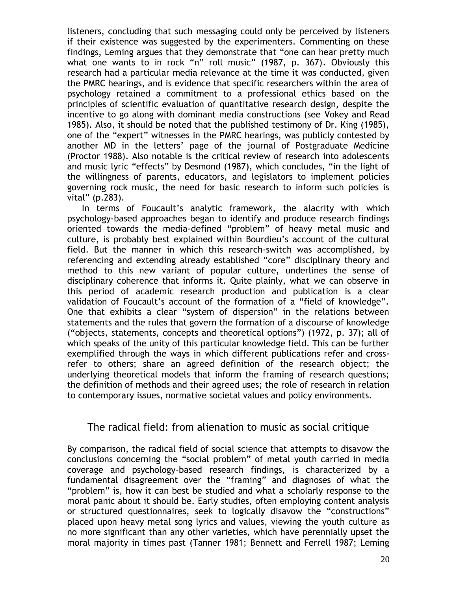listeners, concluding that such messaging could only be perceived by listeners if their existence was suggested by the experimenters. Commenting on these findings, Leming argues that they demonstrate that "one can hear pretty much what one wants to in rock "n" roll music" (1987, p. 367). Obviously this research had a particular media relevance at the time it was conducted, given the PMRC hearings, and is evidence that specific researchers within the area of psychology retained a commitment to a professional ethics based on the principles of scientific evaluation of quantitative research design, despite the incentive to go along with dominant media constructions (see Vokey and Read 1985). Also, it should be noted that the published testimony of Dr. King (1985), one of the "expert" witnesses in the PMRC hearings, was publicly contested by another MD in the letters' page of the journal of Postgraduate Medicine (Proctor 1988). Also notable is the critical review of research into adolescents and music lyric "effects" by Desmond (1987), which concludes, "in the light of the willingness of parents, educators, and legislators to implement policies governing rock music, the need for basic research to inform such policies is vital" (p.283).

In terms of Foucault's analytic framework, the alacrity with which psychology-based approaches began to identify and produce research findings oriented towards the media-defined "problem" of heavy metal music and culture, is probably best explained within Bourdieu's account of the cultural field. But the manner in which this research-switch was accomplished, by referencing and extending already established "core" disciplinary theory and method to this new variant of popular culture, underlines the sense of disciplinary coherence that informs it. Quite plainly, what we can observe in this period of academic research production and publication is a clear validation of Foucault's account of the formation of a "field of knowledge". One that exhibits a clear "system of dispersion" in the relations between statements and the rules that govern the formation of a discourse of knowledge ("objects, statements, concepts and theoretical options") (1972, p. 37); all of which speaks of the unity of this particular knowledge field. This can be further exemplified through the ways in which different publications refer and crossrefer to others; share an agreed definition of the research object; the underlying theoretical models that inform the framing of research questions; the definition of methods and their agreed uses; the role of research in relation to contemporary issues, normative societal values and policy environments.

#### The radical field: from alienation to music as social critique

By comparison, the radical field of social science that attempts to disavow the conclusions concerning the "social problem" of metal youth carried in media coverage and psychology-based research findings, is characterized by a fundamental disagreement over the "framing" and diagnoses of what the "problem" is, how it can best be studied and what a scholarly response to the moral panic about it should be. Early studies, often employing content analysis or structured questionnaires, seek to logically disavow the "constructions" placed upon heavy metal song lyrics and values, viewing the youth culture as no more significant than any other varieties, which have perennially upset the moral majority in times past (Tanner 1981; Bennett and Ferrell 1987; Leming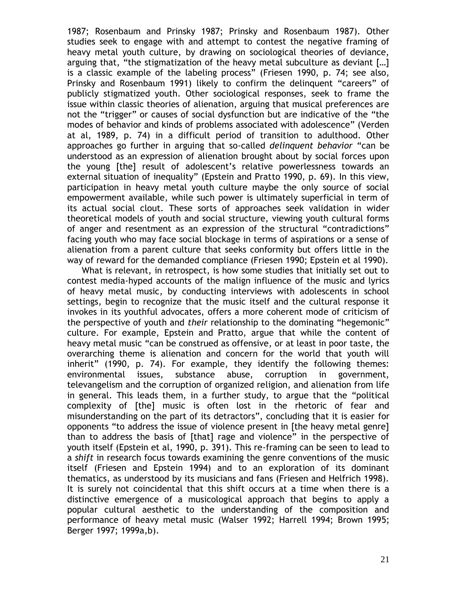1987; Rosenbaum and Prinsky 1987; Prinsky and Rosenbaum 1987). Other studies seek to engage with and attempt to contest the negative framing of heavy metal youth culture, by drawing on sociological theories of deviance, arguing that, "the stigmatization of the heavy metal subculture as deviant […] is a classic example of the labeling process" (Friesen 1990, p. 74; see also, Prinsky and Rosenbaum 1991) likely to confirm the delinquent "careers" of publicly stigmatized youth. Other sociological responses, seek to frame the issue within classic theories of alienation, arguing that musical preferences are not the "trigger" or causes of social dysfunction but are indicative of the "the modes of behavior and kinds of problems associated with adolescence" (Verden at al, 1989, p. 74) in a difficult period of transition to adulthood. Other approaches go further in arguing that so-called *delinquent behavior* "can be understood as an expression of alienation brought about by social forces upon the young [the] result of adolescent's relative powerlessness towards an external situation of inequality" (Epstein and Pratto 1990, p. 69). In this view, participation in heavy metal youth culture maybe the only source of social empowerment available, while such power is ultimately superficial in term of its actual social clout. These sorts of approaches seek validation in wider theoretical models of youth and social structure, viewing youth cultural forms of anger and resentment as an expression of the structural "contradictions" facing youth who may face social blockage in terms of aspirations or a sense of alienation from a parent culture that seeks conformity but offers little in the way of reward for the demanded compliance (Friesen 1990; Epstein et al 1990).

What is relevant, in retrospect, is how some studies that initially set out to contest media-hyped accounts of the malign influence of the music and lyrics of heavy metal music, by conducting interviews with adolescents in school settings, begin to recognize that the music itself and the cultural response it invokes in its youthful advocates, offers a more coherent mode of criticism of the perspective of youth and *their* relationship to the dominating "hegemonic" culture. For example, Epstein and Pratto, argue that while the content of heavy metal music "can be construed as offensive, or at least in poor taste, the overarching theme is alienation and concern for the world that youth will inherit" (1990, p. 74). For example, they identify the following themes: environmental issues, substance abuse, corruption in government, televangelism and the corruption of organized religion, and alienation from life in general. This leads them, in a further study, to argue that the "political complexity of [the] music is often lost in the rhetoric of fear and misunderstanding on the part of its detractors", concluding that it is easier for opponents "to address the issue of violence present in [the heavy metal genre] than to address the basis of [that] rage and violence" in the perspective of youth itself (Epstein et al, 1990, p. 391). This re-framing can be seen to lead to a *shift* in research focus towards examining the genre conventions of the music itself (Friesen and Epstein 1994) and to an exploration of its dominant thematics, as understood by its musicians and fans (Friesen and Helfrich 1998). It is surely not coincidental that this shift occurs at a time when there is a distinctive emergence of a musicological approach that begins to apply a popular cultural aesthetic to the understanding of the composition and performance of heavy metal music (Walser 1992; Harrell 1994; Brown 1995; Berger 1997; 1999a,b).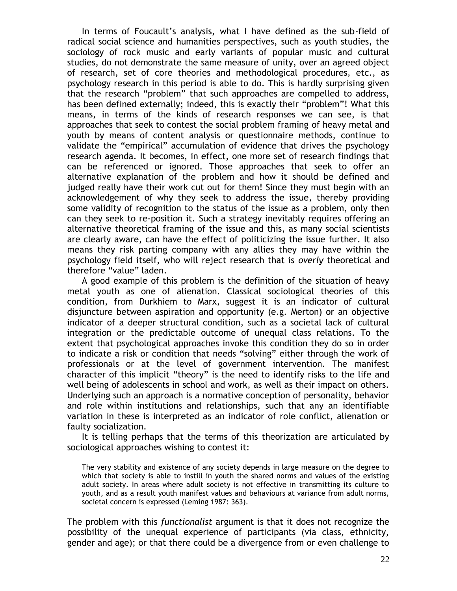In terms of Foucault's analysis, what I have defined as the sub-field of radical social science and humanities perspectives, such as youth studies, the sociology of rock music and early variants of popular music and cultural studies, do not demonstrate the same measure of unity, over an agreed object of research, set of core theories and methodological procedures, etc., as psychology research in this period is able to do. This is hardly surprising given that the research "problem" that such approaches are compelled to address, has been defined externally; indeed, this is exactly their "problem"! What this means, in terms of the kinds of research responses we can see, is that approaches that seek to contest the social problem framing of heavy metal and youth by means of content analysis or questionnaire methods, continue to validate the "empirical" accumulation of evidence that drives the psychology research agenda. It becomes, in effect, one more set of research findings that can be referenced or ignored. Those approaches that seek to offer an alternative explanation of the problem and how it should be defined and judged really have their work cut out for them! Since they must begin with an acknowledgement of why they seek to address the issue, thereby providing some validity of recognition to the status of the issue as a problem, only then can they seek to re-position it. Such a strategy inevitably requires offering an alternative theoretical framing of the issue and this, as many social scientists are clearly aware, can have the effect of politicizing the issue further. It also means they risk parting company with any allies they may have within the psychology field itself, who will reject research that is *overly* theoretical and therefore "value" laden.

A good example of this problem is the definition of the situation of heavy metal youth as one of alienation. Classical sociological theories of this condition, from Durkhiem to Marx, suggest it is an indicator of cultural disjuncture between aspiration and opportunity (e.g. Merton) or an objective indicator of a deeper structural condition, such as a societal lack of cultural integration or the predictable outcome of unequal class relations. To the extent that psychological approaches invoke this condition they do so in order to indicate a risk or condition that needs "solving" either through the work of professionals or at the level of government intervention. The manifest character of this implicit "theory" is the need to identify risks to the life and well being of adolescents in school and work, as well as their impact on others. Underlying such an approach is a normative conception of personality, behavior and role within institutions and relationships, such that any an identifiable variation in these is interpreted as an indicator of role conflict, alienation or faulty socialization.

It is telling perhaps that the terms of this theorization are articulated by sociological approaches wishing to contest it:

The very stability and existence of any society depends in large measure on the degree to which that society is able to instill in youth the shared norms and values of the existing adult society. In areas where adult society is not effective in transmitting its culture to youth, and as a result youth manifest values and behaviours at variance from adult norms, societal concern is expressed (Leming 1987: 363).

The problem with this *functionalist* argument is that it does not recognize the possibility of the unequal experience of participants (via class, ethnicity, gender and age); or that there could be a divergence from or even challenge to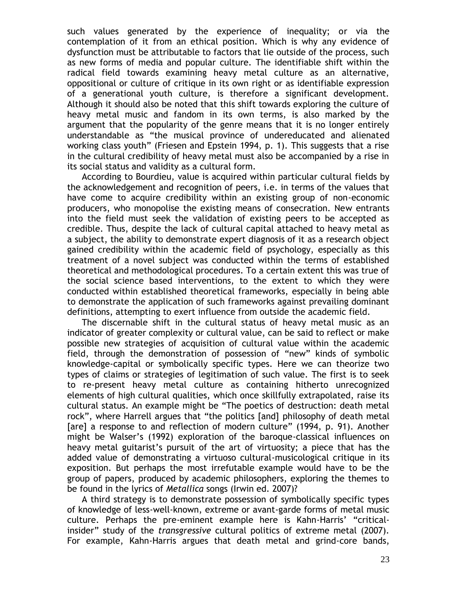such values generated by the experience of inequality; or via the contemplation of it from an ethical position. Which is why any evidence of dysfunction must be attributable to factors that lie outside of the process, such as new forms of media and popular culture. The identifiable shift within the radical field towards examining heavy metal culture as an alternative, oppositional or culture of critique in its own right or as identifiable expression of a generational youth culture, is therefore a significant development. Although it should also be noted that this shift towards exploring the culture of heavy metal music and fandom in its own terms, is also marked by the argument that the popularity of the genre means that it is no longer entirely understandable as "the musical province of undereducated and alienated working class youth" (Friesen and Epstein 1994, p. 1). This suggests that a rise in the cultural credibility of heavy metal must also be accompanied by a rise in its social status and validity as a cultural form.

According to Bourdieu, value is acquired within particular cultural fields by the acknowledgement and recognition of peers, i.e. in terms of the values that have come to acquire credibility within an existing group of non-economic producers, who monopolise the existing means of consecration. New entrants into the field must seek the validation of existing peers to be accepted as credible. Thus, despite the lack of cultural capital attached to heavy metal as a subject, the ability to demonstrate expert diagnosis of it as a research object gained credibility within the academic field of psychology, especially as this treatment of a novel subject was conducted within the terms of established theoretical and methodological procedures. To a certain extent this was true of the social science based interventions, to the extent to which they were conducted within established theoretical frameworks, especially in being able to demonstrate the application of such frameworks against prevailing dominant definitions, attempting to exert influence from outside the academic field.

The discernable shift in the cultural status of heavy metal music as an indicator of greater complexity or cultural value, can be said to reflect or make possible new strategies of acquisition of cultural value within the academic field, through the demonstration of possession of "new" kinds of symbolic knowledge-capital or symbolically specific types. Here we can theorize two types of claims or strategies of legitimation of such value. The first is to seek to re-present heavy metal culture as containing hitherto unrecognized elements of high cultural qualities, which once skillfully extrapolated, raise its cultural status. An example might be "The poetics of destruction: death metal rock", where Harrell argues that "the politics [and] philosophy of death metal [are] a response to and reflection of modern culture" (1994, p. 91). Another might be Walser's (1992) exploration of the baroque-classical influences on heavy metal guitarist's pursuit of the art of virtuosity; a piece that has the added value of demonstrating a virtuoso cultural-musicological critique in its exposition. But perhaps the most irrefutable example would have to be the group of papers, produced by academic philosophers, exploring the themes to be found in the lyrics of *Metallica* songs (Irwin ed. 2007)?

A third strategy is to demonstrate possession of symbolically specific types of knowledge of less-well-known, extreme or avant-garde forms of metal music culture. Perhaps the pre-eminent example here is Kahn-Harris' "criticalinsider" study of the *transgressive* cultural politics of extreme metal (2007). For example, Kahn-Harris argues that death metal and grind-core bands,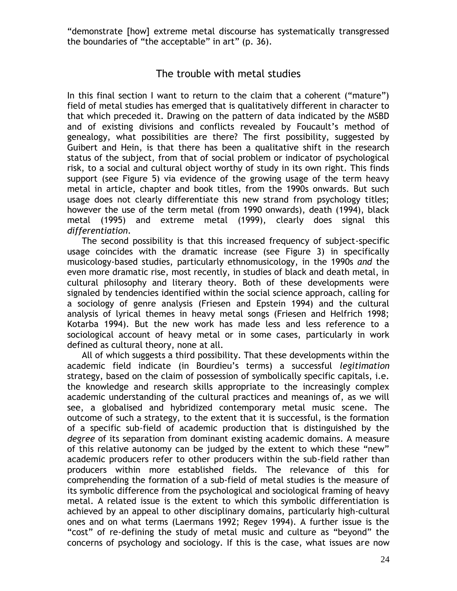"demonstrate [how] extreme metal discourse has systematically transgressed the boundaries of "the acceptable" in art" (p. 36).

#### The trouble with metal studies

In this final section I want to return to the claim that a coherent ("mature") field of metal studies has emerged that is qualitatively different in character to that which preceded it. Drawing on the pattern of data indicated by the MSBD and of existing divisions and conflicts revealed by Foucault's method of genealogy, what possibilities are there? The first possibility, suggested by Guibert and Hein, is that there has been a qualitative shift in the research status of the subject, from that of social problem or indicator of psychological risk, to a social and cultural object worthy of study in its own right. This finds support (see Figure 5) via evidence of the growing usage of the term heavy metal in article, chapter and book titles, from the 1990s onwards. But such usage does not clearly differentiate this new strand from psychology titles; however the use of the term metal (from 1990 onwards), death (1994), black metal (1995) and extreme metal (1999), clearly does signal this *differentiation*.

The second possibility is that this increased frequency of subject-specific usage coincides with the dramatic increase (see Figure 3) in specifically musicology-based studies, particularly ethnomusicology, in the 1990s *and* the even more dramatic rise, most recently, in studies of black and death metal, in cultural philosophy and literary theory. Both of these developments were signaled by tendencies identified within the social science approach, calling for a sociology of genre analysis (Friesen and Epstein 1994) and the cultural analysis of lyrical themes in heavy metal songs (Friesen and Helfrich 1998; Kotarba 1994). But the new work has made less and less reference to a sociological account of heavy metal or in some cases, particularly in work defined as cultural theory, none at all.

All of which suggests a third possibility. That these developments within the academic field indicate (in Bourdieu's terms) a successful *legitimation* strategy, based on the claim of possession of symbolically specific capitals, i.e. the knowledge and research skills appropriate to the increasingly complex academic understanding of the cultural practices and meanings of, as we will see, a globalised and hybridized contemporary metal music scene. The outcome of such a strategy, to the extent that it is successful, is the formation of a specific sub-field of academic production that is distinguished by the *degree* of its separation from dominant existing academic domains. A measure of this relative autonomy can be judged by the extent to which these "new" academic producers refer to other producers within the sub-field rather than producers within more established fields. The relevance of this for comprehending the formation of a sub-field of metal studies is the measure of its symbolic difference from the psychological and sociological framing of heavy metal. A related issue is the extent to which this symbolic differentiation is achieved by an appeal to other disciplinary domains, particularly high-cultural ones and on what terms (Laermans 1992; Regev 1994). A further issue is the "cost" of re-defining the study of metal music and culture as "beyond" the concerns of psychology and sociology. If this is the case, what issues are now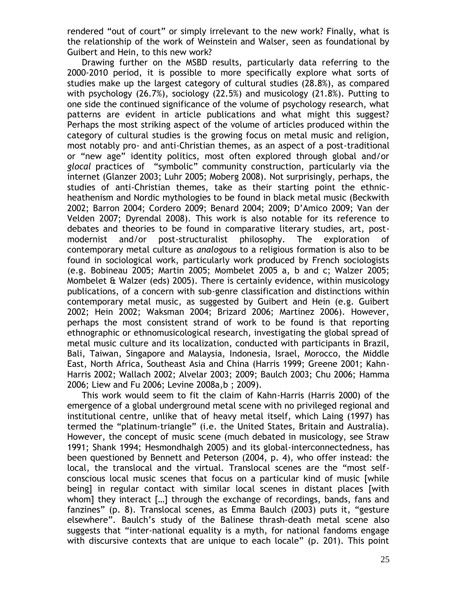rendered "out of court" or simply irrelevant to the new work? Finally, what is the relationship of the work of Weinstein and Walser, seen as foundational by Guibert and Hein, to this new work?

Drawing further on the MSBD results, particularly data referring to the 2000-2010 period, it is possible to more specifically explore what sorts of studies make up the largest category of cultural studies (28.8%), as compared with psychology (26.7%), sociology (22.5%) and musicology (21.8%). Putting to one side the continued significance of the volume of psychology research, what patterns are evident in article publications and what might this suggest? Perhaps the most striking aspect of the volume of articles produced within the category of cultural studies is the growing focus on metal music and religion, most notably pro- and anti-Christian themes, as an aspect of a post-traditional or "new age" identity politics, most often explored through global and/or *glocal* practices of "symbolic" community construction, particularly via the internet (Glanzer 2003; Luhr 2005; Moberg 2008). Not surprisingly, perhaps, the studies of anti-Christian themes, take as their starting point the ethnicheathenism and Nordic mythologies to be found in black metal music (Beckwith 2002; Barron 2004; Cordero 2009; Benard 2004; 2009; D'Amico 2009; Van der Velden 2007; Dyrendal 2008). This work is also notable for its reference to debates and theories to be found in comparative literary studies, art, postmodernist and/or post-structuralist philosophy. The exploration of contemporary metal culture as *analogous* to a religious formation is also to be found in sociological work, particularly work produced by French sociologists (e.g. Bobineau 2005; Martin 2005; Mombelet 2005 a, b and c; Walzer 2005; Mombelet & Walzer (eds) 2005). There is certainly evidence, within musicology publications, of a concern with sub-genre classification and distinctions within contemporary metal music, as suggested by Guibert and Hein (e.g. Guibert 2002; Hein 2002; Waksman 2004; Brizard 2006; Martinez 2006). However, perhaps the most consistent strand of work to be found is that reporting ethnographic or ethnomusicological research, investigating the global spread of metal music culture and its localization, conducted with participants in Brazil, Bali, Taiwan, Singapore and Malaysia, Indonesia, Israel, Morocco, the Middle East, North Africa, Southeast Asia and China (Harris 1999; Greene 2001; Kahn-Harris 2002; Wallach 2002; Alvelar 2003; 2009; Baulch 2003; Chu 2006; Hamma 2006; Liew and Fu 2006; Levine 2008a,b ; 2009).

This work would seem to fit the claim of Kahn-Harris (Harris 2000) of the emergence of a global underground metal scene with no privileged regional and institutional centre, unlike that of heavy metal itself, which Laing (1997) has termed the "platinum-triangle" (i.e. the United States, Britain and Australia). However, the concept of music scene (much debated in musicology, see Straw 1991; Shank 1994; Hesmondhalgh 2005) and its global-interconnectedness, has been questioned by Bennett and Peterson (2004, p. 4), who offer instead: the local, the translocal and the virtual. Translocal scenes are the "most selfconscious local music scenes that focus on a particular kind of music [while being] in regular contact with similar local scenes in distant places [with whom] they interact […] through the exchange of recordings, bands, fans and fanzines" (p. 8). Translocal scenes, as Emma Baulch (2003) puts it, "gesture elsewhere". Baulch's study of the Balinese thrash-death metal scene also suggests that "inter-national equality is a myth, for national fandoms engage with discursive contexts that are unique to each locale" (p. 201). This point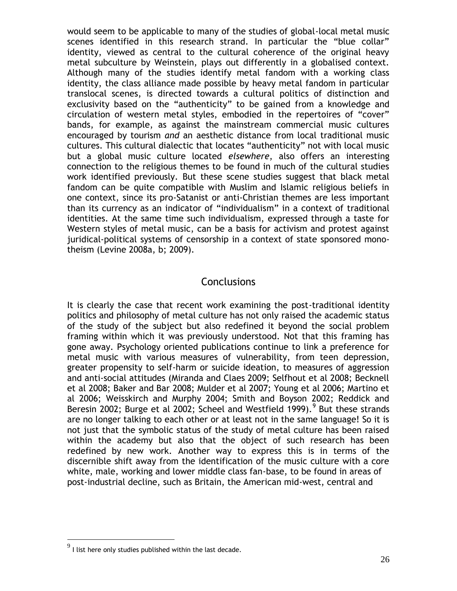would seem to be applicable to many of the studies of global-local metal music scenes identified in this research strand. In particular the "blue collar" identity, viewed as central to the cultural coherence of the original heavy metal subculture by Weinstein, plays out differently in a globalised context. Although many of the studies identify metal fandom with a working class identity, the class alliance made possible by heavy metal fandom in particular translocal scenes, is directed towards a cultural politics of distinction and exclusivity based on the "authenticity" to be gained from a knowledge and circulation of western metal styles, embodied in the repertoires of "cover" bands, for example, as against the mainstream commercial music cultures encouraged by tourism *and* an aesthetic distance from local traditional music cultures. This cultural dialectic that locates "authenticity" not with local music but a global music culture located *elsewhere*, also offers an interesting connection to the religious themes to be found in much of the cultural studies work identified previously. But these scene studies suggest that black metal fandom can be quite compatible with Muslim and Islamic religious beliefs in one context, since its pro-Satanist or anti-Christian themes are less important than its currency as an indicator of "individualism" in a context of traditional identities. At the same time such individualism, expressed through a taste for Western styles of metal music, can be a basis for activism and protest against juridical-political systems of censorship in a context of state sponsored monotheism (Levine 2008a, b; 2009).

#### **Conclusions**

It is clearly the case that recent work examining the post-traditional identity politics and philosophy of metal culture has not only raised the academic status of the study of the subject but also redefined it beyond the social problem framing within which it was previously understood. Not that this framing has gone away. Psychology oriented publications continue to link a preference for metal music with various measures of vulnerability, from teen depression, greater propensity to self-harm or suicide ideation, to measures of aggression and anti-social attitudes (Miranda and Claes 2009; Selfhout et al 2008; Becknell et al 2008; Baker and Bar 2008; Mulder et al 2007; Young et al 2006; Martino et al 2006; Weisskirch and Murphy 2004; Smith and Boyson 2002; Reddick and Beresin 2002; Burge et al 2002; Scheel and Westfield 1999). <sup>9</sup> But these strands are no longer talking to each other or at least not in the same language! So it is not just that the symbolic status of the study of metal culture has been raised within the academy but also that the object of such research has been redefined by new work. Another way to express this is in terms of the discernible shift away from the identification of the music culture with a core white, male, working and lower middle class fan-base, to be found in areas of post-industrial decline, such as Britain, the American mid-west, central and

 $^9$  I list here only studies published within the last decade.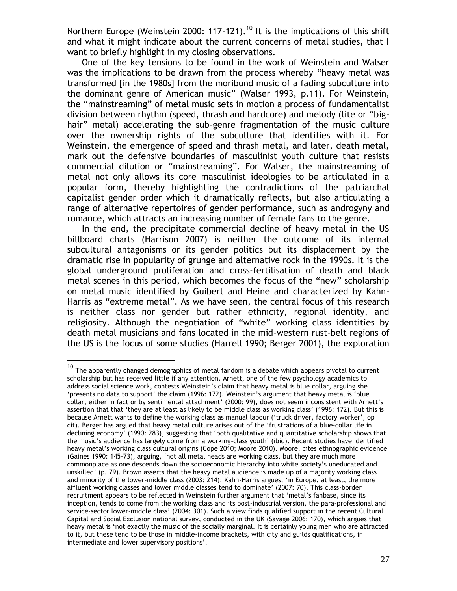Northern Europe (Weinstein 2000: 117-121).<sup>10</sup> It is the implications of this shift and what it might indicate about the current concerns of metal studies, that I want to briefly highlight in my closing observations.

One of the key tensions to be found in the work of Weinstein and Walser was the implications to be drawn from the process whereby "heavy metal was transformed [in the 1980s] from the moribund music of a fading subculture into the dominant genre of American music" (Walser 1993, p.11). For Weinstein, the "mainstreaming" of metal music sets in motion a process of fundamentalist division between rhythm (speed, thrash and hardcore) and melody (lite or "bighair" metal) accelerating the sub-genre fragmentation of the music culture over the ownership rights of the subculture that identifies with it. For Weinstein, the emergence of speed and thrash metal, and later, death metal, mark out the defensive boundaries of masculinist youth culture that resists commercial dilution or "mainstreaming". For Walser, the mainstreaming of metal not only allows its core masculinist ideologies to be articulated in a popular form, thereby highlighting the contradictions of the patriarchal capitalist gender order which it dramatically reflects, but also articulating a range of alternative repertoires of gender performance, such as androgyny and romance, which attracts an increasing number of female fans to the genre.

In the end, the precipitate commercial decline of heavy metal in the US billboard charts (Harrison 2007) is neither the outcome of its internal subcultural antagonisms or its gender politics but its displacement by the dramatic rise in popularity of grunge and alternative rock in the 1990s. It is the global underground proliferation and cross-fertilisation of death and black metal scenes in this period, which becomes the focus of the "new" scholarship on metal music identified by Guibert and Heine and characterized by Kahn-Harris as "extreme metal". As we have seen, the central focus of this research is neither class nor gender but rather ethnicity, regional identity, and religiosity. Although the negotiation of "white" working class identities by death metal musicians and fans located in the mid-western rust-belt regions of the US is the focus of some studies (Harrell 1990; Berger 2001), the exploration

 $^{10}$  The apparently changed demographics of metal fandom is a debate which appears pivotal to current scholarship but has received little if any attention. Arnett, one of the few psychology academics to address social science work, contests Weinstein's claim that heavy metal is blue collar, arguing she 'presents no data to support' the claim (1996: 172). Weinstein's argument that heavy metal is 'blue collar, either in fact or by sentimental attachment' (2000: 99), does not seem inconsistent with Arnett's assertion that that 'they are at least as likely to be middle class as working class' (1996: 172). But this is because Arnett wants to define the working class as manual labour ('truck driver, factory worker', op cit). Berger has argued that heavy metal culture arises out of the 'frustrations of a blue-collar life in declining economy' (1990: 283), suggesting that 'both qualitative and quantitative scholarship shows that the music's audience has largely come from a working-class youth' (ibid). Recent studies have identified heavy metal's working class cultural origins (Cope 2010; Moore 2010). Moore, cites ethnographic evidence (Gaines 1990: 145-73), arguing, 'not all metal heads are working class, but they are much more commonplace as one descends down the socioeconomic hierarchy into white society's uneducated and unskilled' (p. 79). Brown asserts that the heavy metal audience is made up of a majority working class and minority of the lower-middle class (2003: 214); Kahn-Harris argues, 'in Europe, at least, the more affluent working classes and lower middle classes tend to dominate' (2007: 70). This class-border recruitment appears to be reflected in Weinstein further argument that 'metal's fanbase, since its inception, tends to come from the working class and its post-industrial version, the para-professional and service-sector lower-middle class' (2004: 301). Such a view finds qualified support in the recent Cultural Capital and Social Exclusion national survey, conducted in the UK (Savage 2006: 170), which argues that heavy metal is 'not exactly the music of the socially marginal. It is certainly young men who are attracted to it, but these tend to be those in middle-income brackets, with city and guilds qualifications, in intermediate and lower supervisory positions'.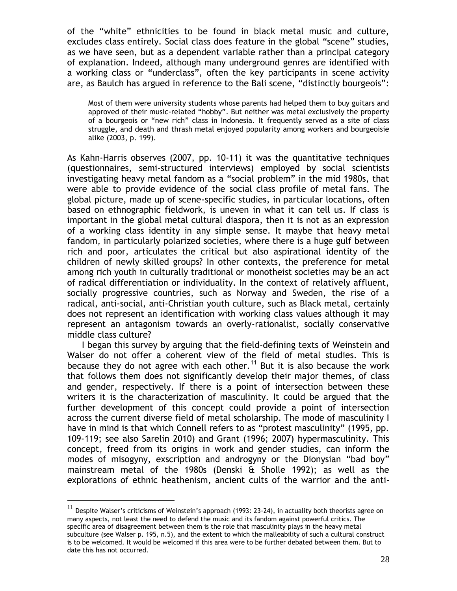of the "white" ethnicities to be found in black metal music and culture, excludes class entirely. Social class does feature in the global "scene" studies, as we have seen, but as a dependent variable rather than a principal category of explanation. Indeed, although many underground genres are identified with a working class or "underclass", often the key participants in scene activity are, as Baulch has argued in reference to the Bali scene, "distinctly bourgeois":

Most of them were university students whose parents had helped them to buy guitars and approved of their music-related "hobby". But neither was metal exclusively the property of a bourgeois or "new rich" class in Indonesia. It frequently served as a site of class struggle, and death and thrash metal enjoyed popularity among workers and bourgeoisie alike (2003, p. 199).

As Kahn-Harris observes (2007, pp. 10-11) it was the quantitative techniques (questionnaires, semi-structured interviews) employed by social scientists investigating heavy metal fandom as a "social problem" in the mid 1980s, that were able to provide evidence of the social class profile of metal fans. The global picture, made up of scene-specific studies, in particular locations, often based on ethnographic fieldwork, is uneven in what it can tell us. If class is important in the global metal cultural diaspora, then it is not as an expression of a working class identity in any simple sense. It maybe that heavy metal fandom, in particularly polarized societies, where there is a huge gulf between rich and poor, articulates the critical but also aspirational identity of the children of newly skilled groups? In other contexts, the preference for metal among rich youth in culturally traditional or monotheist societies may be an act of radical differentiation or individuality. In the context of relatively affluent, socially progressive countries, such as Norway and Sweden, the rise of a radical, anti-social, anti-Christian youth culture, such as Black metal, certainly does not represent an identification with working class values although it may represent an antagonism towards an overly-rationalist, socially conservative middle class culture?

I began this survey by arguing that the field-defining texts of Weinstein and Walser do not offer a coherent view of the field of metal studies. This is because they do not agree with each other.<sup>11</sup> But it is also because the work that follows them does not significantly develop their major themes, of class and gender, respectively. If there is a point of intersection between these writers it is the characterization of masculinity. It could be argued that the further development of this concept could provide a point of intersection across the current diverse field of metal scholarship. The mode of masculinity I have in mind is that which Connell refers to as "protest masculinity" (1995, pp. 109-119; see also Sarelin 2010) and Grant (1996; 2007) hypermasculinity. This concept, freed from its origins in work and gender studies, can inform the modes of misogyny, exscription and androgyny or the Dionysian "bad boy" mainstream metal of the 1980s (Denski & Sholle 1992); as well as the explorations of ethnic heathenism, ancient cults of the warrior and the anti-

 $^{11}$  Despite Walser's criticisms of Weinstein's approach (1993: 23-24), in actuality both theorists agree on many aspects, not least the need to defend the music and its fandom against powerful critics. The specific area of disagreement between them is the role that masculinity plays in the heavy metal subculture (see Walser p. 195, n.5), and the extent to which the malleability of such a cultural construct is to be welcomed. It would be welcomed if this area were to be further debated between them. But to date this has not occurred.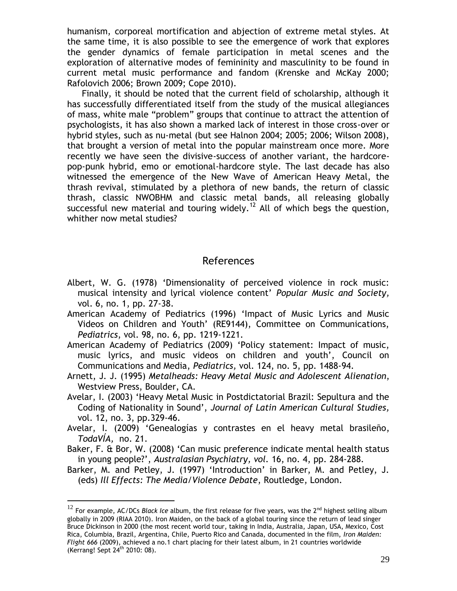humanism, corporeal mortification and abjection of extreme metal styles. At the same time, it is also possible to see the emergence of work that explores the gender dynamics of female participation in metal scenes and the exploration of alternative modes of femininity and masculinity to be found in current metal music performance and fandom (Krenske and McKay 2000; Rafolovich 2006; Brown 2009; Cope 2010).

Finally, it should be noted that the current field of scholarship, although it has successfully differentiated itself from the study of the musical allegiances of mass, white male "problem" groups that continue to attract the attention of psychologists, it has also shown a marked lack of interest in those cross-over or hybrid styles, such as nu-metal (but see Halnon 2004; 2005; 2006; Wilson 2008), that brought a version of metal into the popular mainstream once more. More recently we have seen the divisive-success of another variant, the hardcorepop-punk hybrid, emo or emotional-hardcore style. The last decade has also witnessed the emergence of the New Wave of American Heavy Metal, the thrash revival, stimulated by a plethora of new bands, the return of classic thrash, classic NWOBHM and classic metal bands, all releasing globally successful new material and touring widely.<sup>12</sup> All of which begs the question, whither now metal studies?

#### References

- Albert, W. G. (1978) 'Dimensionality of perceived violence in rock music: musical intensity and lyrical violence content' *Popular Music and Society,*  vol. 6, no. 1, pp. 27-38.
- American Academy of Pediatrics (1996) 'Impact of Music Lyrics and Music Videos on Children and Youth' (RE9144), Committee on Communications, *Pediatrics*, vol. 98, no. 6, pp. 1219-1221.
- American Academy of Pediatrics (2009) 'Policy statement: Impact of music, music lyrics, and music videos on children and youth', Council on Communications and Media, *Pediatrics,* vol. 124, no. 5, pp. 1488-94.
- Arnett, J. J. (1995) *Metalheads: Heavy Metal Music and Adolescent Alienation*, Westview Press, Boulder, CA.
- Avelar, I. (2003) 'Heavy Metal Music in Postdictatorial Brazil: Sepultura and the Coding of Nationality in Sound', *Journal of Latin American Cultural Studies,* vol. 12, no. 3, pp.329-46.
- Avelar, I. (2009) 'Genealogías y contrastes en el heavy metal brasileño, *TodaVÍA,* no. 21.
- Baker, F. & Bor, W. (2008) 'Can music preference indicate mental health status in young people?', *Australasian Psychiatry, vol.* 16, no. 4, pp. 284-288.
- Barker, M. and Petley, J. (1997) 'Introduction' in Barker, M. and Petley, J. (eds) *Ill Effects: The Media/Violence Debate*, Routledge, London.

<sup>&</sup>lt;sup>12</sup> For example, AC/DCs *Black Ice* album, the first release for five years, was the 2<sup>nd</sup> highest selling album globally in 2009 (RIAA 2010). Iron Maiden, on the back of a global touring since the return of lead singer Bruce Dickinson in 2000 (the most recent world tour, taking in India, Australia, Japan, USA, Mexico, Cost Rica, Columbia, Brazil, Argentina, Chile, Puerto Rico and Canada, documented in the film, *Iron Maiden: Flight 666* (2009), achieved a no.1 chart placing for their latest album, in 21 countries worldwide (Kerrang! Sept 24th 2010: 08).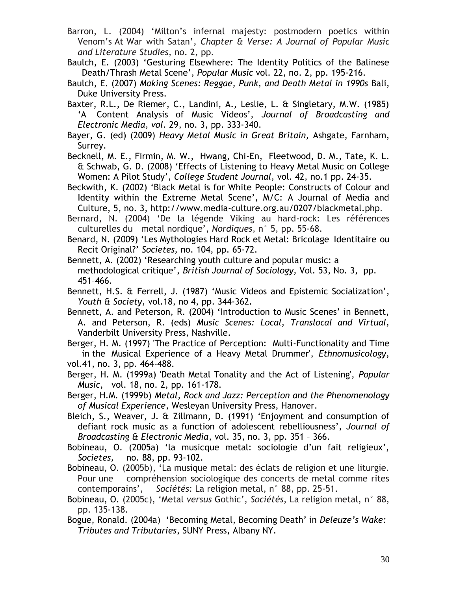Barron, L. (2004) 'Milton's infernal majesty: postmodern poetics within Venom's At War with Satan', *Chapter & Verse: A Journal of Popular Music and Literature Studies,* no. 2, pp.

Baulch, E. (2003) 'Gesturing Elsewhere: The Identity Politics of the Balinese Death/Thrash Metal Scene', *Popular Music* vol. 22, no. 2, pp. 195-216.

Baulch, E. (2007) *Making Scenes: Reggae, Punk, and Death Metal in 1990s* Bali, Duke University Press.

Baxter, R.L., De Riemer, C., Landini, A., Leslie, L. & Singletary, M.W. (1985) 'A Content Analysis of Music Videos', *Journal of Broadcasting and Electronic Media, vol.* 29, no. 3, pp. 333-340.

Bayer, G. (ed) (2009) *Heavy Metal Music in Great Britain,* Ashgate, Farnham, Surrey.

Becknell, M. E., Firmin, M. W., Hwang, Chi-En, Fleetwood, D. M., Tate, K. L. & Schwab, G. D. (2008) 'Effects of Listening to Heavy Metal Music on College Women: A Pilot Study', *College Student Journal,* vol. 42, no.1 pp. 24-35.

Beckwith, K. (2002) 'Black Metal is for White People: Constructs of Colour and Identity within the Extreme Metal Scene', M/C: A Journal of Media and Culture, 5, no. 3, http://www.media-culture.org.au/0207/blackmetal.php.

Bernard, N. (2004) 'De la légende Viking au hard-rock: Les références culturelles du metal nordique', *Nordiques*, n° 5, pp. 55-68.

Benard, N. (2009) 'Les Mythologies Hard Rock et Metal: Bricolage Identitaire ou Recit Original?' *Societes,* no. 104, pp. 65-72.

Bennett, A. (2002) 'Researching youth culture and popular music: a methodological critique', *British Journal of Sociology,* Vol. 53, No. 3, pp. 451–466.

Bennett, H.S. & Ferrell, J. (1987) 'Music Videos and Epistemic Socialization', *Youth & Society,* vol.18, no 4, pp. 344-362.

Bennett, A. and Peterson, R. (2004) 'Introduction to Music Scenes' in Bennett, A. and Peterson, R. (eds) *Music Scenes: Local, Translocal and Virtual,*  Vanderbilt University Press, Nashville.

Berger, H. M. (1997) 'The Practice of Perception: Multi-Functionality and Time in the Musical Experience of a Heavy Metal Drummer', *Ethnomusicology*, vol.41, no. 3, pp. 464-488.

Berger, H. M. (1999a) 'Death Metal Tonality and the Act of Listening', *Popular Music*, vol. 18, no. 2, pp. 161-178.

Berger, H.M. (1999b) *Metal, Rock and Jazz: Perception and the Phenomenology of Musical Experience*, Wesleyan University Press, Hanover.

Bleich, S., Weaver, J. & Zillmann, D. (1991) 'Enjoyment and consumption of defiant rock music as a function of adolescent rebelliousness', *Journal of Broadcasting & Electronic Media*, vol. 35, no. 3, pp. 351 – 366.

Bobineau, O. (2005a) 'la musicque metal: sociologie d'un fait religieux', *Societes,* no. 88, pp. 93-102.

Bobineau, O. (2005b), 'La musique metal: des éclats de religion et une liturgie. Pour une compréhension sociologique des concerts de metal comme rites contemporains', *Sociétés*: La religion metal, n° 88, pp. 25-51.

Bobineau, O. (2005c), 'Metal *versus* Gothic', *Sociétés*, La religion metal, n° 88, pp. 135-138.

Bogue, Ronald. (2004a) 'Becoming Metal, Becoming Death' in *Deleuze's Wake: Tributes and Tributaries*, SUNY Press, Albany NY.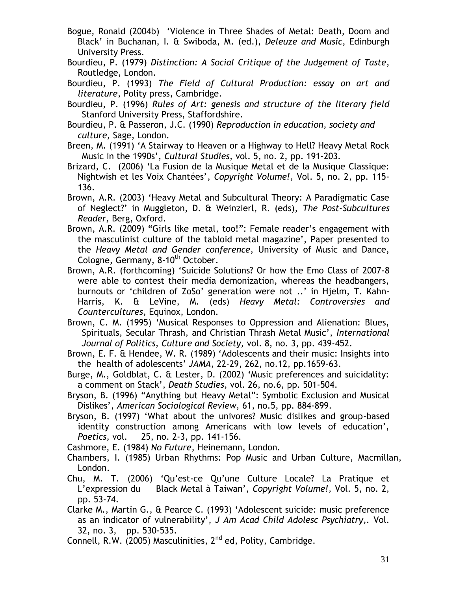- Bogue, Ronald (2004b) 'Violence in Three Shades of Metal: Death, Doom and Black' in Buchanan, I. & Swiboda, M. (ed.), *Deleuze and Music*, Edinburgh University Press.
- Bourdieu, P. (1979) *Distinction: A Social Critique of the Judgement of Taste*, Routledge, London.
- Bourdieu, P. (1993) *The Field of Cultural Production: essay on art and literature*, Polity press, Cambridge.
- Bourdieu, P. (1996) *Rules of Art: genesis and structure of the literary field* Stanford University Press, Staffordshire.
- Bourdieu, P. & Passeron, J.C. (1990) *Reproduction in education, society and culture,* Sage, London.
- Breen, M. (1991) 'A Stairway to Heaven or a Highway to Hell? Heavy Metal Rock Music in the 1990s', *Cultural Studies,* vol. 5, no. 2, pp. 191-203.
- Brizard, C. (2006) 'La Fusion de la Musique Metal et de la Musique Classique: Nightwish et les Voix Chantées', *Copyright Volume!,* Vol. 5, no. 2, pp. 115- 136.
- Brown, A.R. (2003) 'Heavy Metal and Subcultural Theory: A Paradigmatic Case of Neglect?' in Muggleton, D. & Weinzierl, R. (eds), *The Post-Subcultures Reader,* Berg, Oxford.
- Brown, A.R. (2009) "Girls like metal, too!": Female reader's engagement with the masculinist culture of the tabloid metal magazine', Paper presented to the *Heavy Metal and Gender conference*, University of Music and Dance, Cologne, Germany, 8-10<sup>th</sup> October.
- Brown, A.R. (forthcoming) 'Suicide Solutions? Or how the Emo Class of 2007-8 were able to contest their media demonization, whereas the headbangers, burnouts or 'children of ZoSo' generation were not ..' in Hjelm, T. Kahn-Harris, K. & LeVine, M. (eds) *Heavy Metal: Controversies and Countercultures,* Equinox, London.
- Brown, C. M. (1995) 'Musical Responses to Oppression and Alienation: Blues, Spirituals, Secular Thrash, and Christian Thrash Metal Music', *International Journal of Politics, Culture and Society,* vol. 8, no. 3, pp. 439-452.
- Brown, E. F. & Hendee, W. R. (1989) 'Adolescents and their music: Insights into the health of adolescents' *JAMA,* 22-29, 262, no.12, pp.1659-63.
- Burge, M., Goldblat, C. & Lester, D. (2002) 'Music preferences and suicidality: a comment on Stack', *Death Studies,* vol. 26, no.6, pp. 501-504.
- Bryson, B. (1996) "Anything but Heavy Metal": Symbolic Exclusion and Musical Dislikes', *American Sociological Review,* 61, no.5, pp. 884-899.
- Bryson, B. (1997) 'What about the univores? Music dislikes and group-based identity construction among Americans with low levels of education', *Poetics,* vol. 25, no. 2-3, pp. 141-156.
- Cashmore, E. (1984) *No Future*, Heinemann, London.
- Chambers, I. (1985) Urban Rhythms: Pop Music and Urban Culture, Macmillan, London.
- Chu, M. T. (2006) 'Qu'est-ce Qu'une Culture Locale? La Pratique et L'expression du Black Metal à Taiwan', *Copyright Volume!,* Vol. 5, no. 2, pp. 53-74.
- Clarke M., Martin G., & Pearce C. (1993) 'Adolescent suicide: music preference as an indicator of vulnerability', *J Am Acad Child Adolesc Psychiatry,.* Vol. 32, no. 3, pp. 530-535.
- Connell, R.W. (2005) Masculinities,  $2^{nd}$  ed, Polity, Cambridge.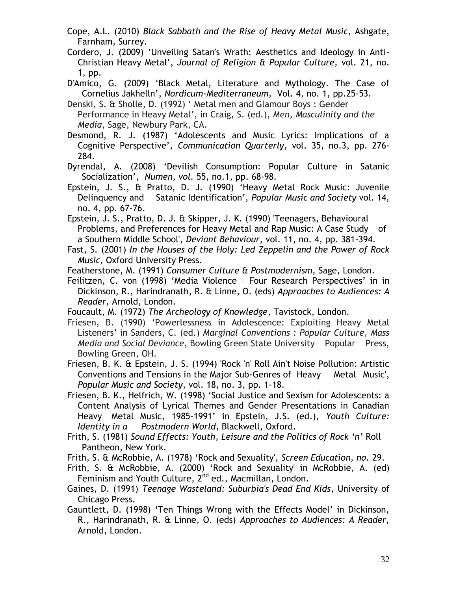- Cope, A.L. (2010) *Black Sabbath and the Rise of Heavy Metal Music*, Ashgate, Farnham, Surrey.
- Cordero, J. (2009) 'Unveiling Satan's Wrath: Aesthetics and Ideology in Anti-Christian Heavy Metal', *Journal of Religion & Popular Culture,* vol. 21, no. 1, pp.
- D'Amico, G. (2009) 'Black Metal, Literature and Mythology. The Case of Cornelius Jakhelln', *[Nordicum-Mediterraneum,](http://www.doaj.org/doaj?func=further&passMe=http://nome.unak.is/)* Vol. 4, no. 1, pp.25-53.
- Denski, S. & Sholle, D. (1992) ' Metal men and Glamour Boys : Gender Performance in Heavy Metal', in Craig, S. (ed.), *Men, Masculinity and the Media*, Sage, Newbury Park, CA.
- Desmond, R. J. (1987) 'Adolescents and Music Lyrics: Implications of a Cognitive Perspective', *Communication Quarterly*, vol. 35, no.3, pp. 276- 284.
- Dyrendal, A. (2008) 'Devilish Consumption: Popular Culture in Satanic Socialization', *Numen, vol.* 55, no.1, pp. 68-98.
- Epstein, J. S., & Pratto, D. J. (1990) 'Heavy Metal Rock Music: Juvenile Delinquency and Satanic Identification', *Popular Music and Society* vol. 14, no. 4, pp. 67-76.
- Epstein, J. S., Pratto, D. J. & Skipper, J. K. (1990) 'Teenagers, Behavioural Problems, and Preferences for Heavy Metal and Rap Music: A Case Study of a Southern Middle School', *Deviant Behaviour*, vol. 11, no. 4, pp. 381-394.
- Fast, S. (2001) *In the Houses of the Holy: Led Zeppelin and the Power of Rock Music,* Oxford University Press.
- Featherstone, M. (1991) *Consumer Culture & Postmodernism,* Sage, London.
- Feilitzen, C. von (1998) 'Media Violence Four Research Perspectives' in in Dickinson, R., Harindranath, R. & Linne, O. (eds) *Approaches to Audiences: A Reader,* Arnold, London.
- Foucault, M. (1972) *The Archeology of Knowledge*, Tavistock, London.
- Friesen, B. (1990) 'Powerlessness in Adolescence: Exploiting Heavy Metal Listeners' in Sanders, C. (ed.) *Marginal Conventions : Popular Culture, Mass Media and Social Deviance*, Bowling Green State University Popular Press, Bowling Green, OH.
- Friesen, B. K. & Epstein, J. S. (1994) 'Rock 'n' Roll Ain't Noise Pollution: Artistic Conventions and Tensions in the Major Sub-Genres of Heavy Metal Music', *Popular Music and Society*, vol. 18, no. 3, pp. 1-18.
- Friesen, B. K., Helfrich, W. (1998) 'Social Justice and Sexism for Adolescents: a Content Analysis of Lyrical Themes and Gender Presentations in Canadian Heavy Metal Music, 1985-1991' in Epstein, J.S. (ed.), *Youth Culture: Identity in a Postmodern World*, Blackwell, Oxford.
- Frith, S. (1981) *Sound Effects: Youth, Leisure and the Politics of Rock 'n'* Roll Pantheon, New York.
- Frith, S. & McRobbie, A. (1978) 'Rock and Sexuality', *Screen Education, no.* 29.
- Frith, S. & McRobbie, A. (2000) 'Rock and Sexuality' in McRobbie, A. (ed) Feminism and Youth Culture,  $2^{nd}$  ed., Macmillan, London.
- Gaines, D. (1991) *Teenage Wasteland: Suburbia's Dead End Kids*, University of Chicago Press.
- Gauntlett, D. (1998) 'Ten Things Wrong with the Effects Model' in Dickinson, R., Harindranath, R. & Linne, O. (eds) *Approaches to Audiences: A Reader,*  Arnold, London.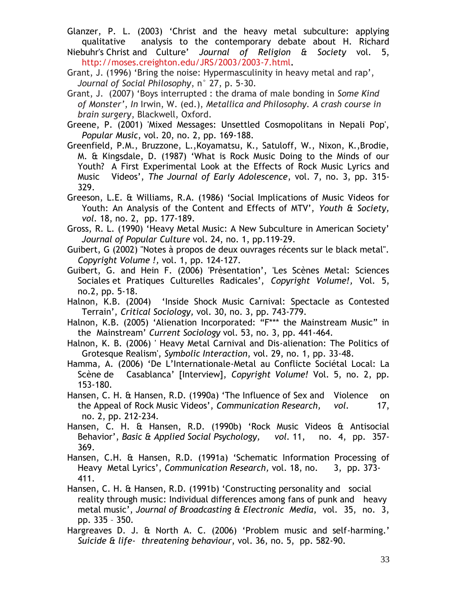Glanzer, P. L. (2003) 'Christ and the heavy metal subculture: applying qualitative analysis to the contemporary debate about H. Richard

Niebuhr's Christ and Culture' *Journal of Religion & Society* vol. 5, <http://moses.creighton.edu/JRS/2003/2003-7.html>**.**

- Grant, J. (1996) 'Bring the noise: Hypermasculinity in heavy metal and rap', *Journal of Social Philosophy*, n° 27, p. 5-30.
- Grant, J. (2007) 'Boys interrupted : the drama of male bonding in *Some Kind of Monster'*, *In* Irwin, W. (ed.), *Metallica and Philosophy. A crash course in brain surgery*, Blackwell, Oxford.
- Greene, P. (2001) 'Mixed Messages: Unsettled Cosmopolitans in Nepali Pop', *Popular Music*, vol. 20, no. 2, pp. 169-188.
- Greenfield, P.M., Bruzzone, L.,Koyamatsu, K., Satuloff, W., Nixon, K.,Brodie, M. & Kingsdale, D. (1987) 'What is Rock Music Doing to the Minds of our Youth? A First Experimental Look at the Effects of Rock Music Lyrics and Music Videos', *The Journal of Early Adolescence*, vol. 7, no. 3, pp. 315- 329.
- Greeson, L.E. & Williams, R.A. (1986) 'Social Implications of Music Videos for Youth: An Analysis of the Content and Effects of MTV', *Youth & Society, vol.* 18, no. 2, pp. 177-189.
- Gross, R. L. (1990) 'Heavy Metal Music: A New Subculture in American Society' *Journal of Popular Culture* vol. 24, no. 1, pp.119-29.

Guibert, G (2002) "Notes à propos de deux ouvrages récents sur le black metal". *Copyright Volume !,* vol. 1, pp. 124-127.

- Guibert, G. and Hein F. (2006) 'Prèsentation', 'Les Scènes Metal: Sciences Sociales et Pratiques Culturelles Radicales', *Copyright Volume!,* Vol. 5, no.2, pp. 5-18.
- Halnon, K.B. (2004) 'Inside Shock Music Carnival: Spectacle as Contested Terrain', *Critical Sociology,* vol. 30, no. 3, pp. 743-779.
- Halnon, K.B. (2005) 'Alienation Incorporated: "F\*\*\* the Mainstream Music" in the Mainstream' *Current Sociology* vol. 53, no. 3, pp. 441-464.
- Halnon, K. B. (2006) ' Heavy Metal Carnival and Dis-alienation: The Politics of Grotesque Realism', *Symbolic Interaction*, vol. 29, no. 1, pp. 33-48.
- Hamma, A. (2006) 'De L'Internationale-Metal au Conflicte Sociétal Local: La Scène de Casablanca' [Interview], *Copyright Volume!* Vol. 5, no. 2, pp. 153-180.
- Hansen, C. H. & Hansen, R.D. (1990a) 'The Influence of Sex and Violence on the Appeal of Rock Music Videos', *Communication Research, vol.* 17, no. 2, pp. 212-234.
- Hansen, C. H. & Hansen, R.D. (1990b) 'Rock Music Videos & Antisocial Behavior', *Basic & Applied Social Psychology, vol.* 11, no. 4, pp. 357- 369.
- Hansen, C.H. & Hansen, R.D. (1991a) 'Schematic Information Processing of Heavy Metal Lyrics', *Communication Research,* vol. 18, no. 3, pp. 373- 411.
- Hansen, C. H. & Hansen, R.D. (1991b) 'Constructing personality and social reality through music: Individual differences among fans of punk and heavy metal music', *Journal of Broadcasting & Electronic Media*, vol. 35, no. 3, pp. 335 – 350.
- Hargreaves D. J. & North A. C. (2006) 'Problem music and self-harming.' *Suicide & life- threatening behaviour*, vol. 36, no. 5, pp. 582-90.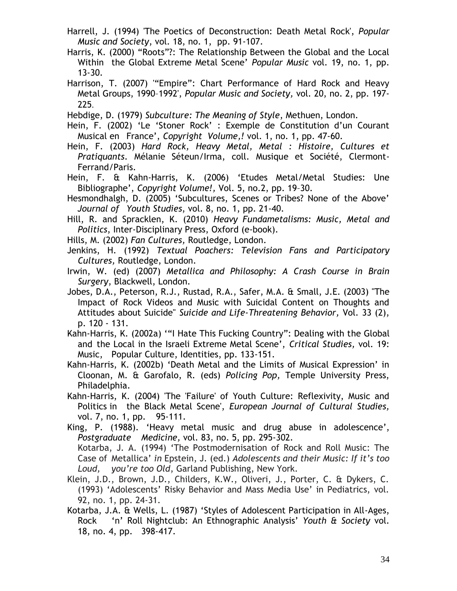- Harrell, J. (1994) 'The Poetics of Deconstruction: Death Metal Rock', *Popular Music and Society*, vol. 18, no. 1, pp. 91-107.
- Harris, K. (2000) "Roots"?: The Relationship Between the Global and the Local Within the Global Extreme Metal Scene' *Popular Music* vol. 19, no. 1, pp. 13-30.
- Harrison, T. (2007) '"Empire": Chart Performance of Hard Rock and Heavy Metal Groups, 1990–1992', *Popular Music and Society,* vol. 20, no. 2, pp. 197- 225.

Hebdige, D. (1979) *Subculture: The Meaning of Style*, Methuen, London.

- Hein, F. (2002) 'Le 'Stoner Rock' : Exemple de Constitution d'un Courant Musical en France', *Copyright Volume,!* vol. 1, no. 1, pp. 47-60.
- Hein, F. (2003) *Hard Rock, Heavy Metal, Metal : Histoire, Cultures et Pratiquants*. Mélanie Séteun/Irma, coll. Musique et Société, Clermont-Ferrand/Paris.
- Hein, F. & Kahn-Harris, K. (2006) 'Etudes Metal/Metal Studies: Une Bibliographe', *Copyright Volume!,* Vol. 5, no.2, pp. 19–30.
- Hesmondhalgh, D. (2005) 'Subcultures, Scenes or Tribes? None of the Above' *Journal of Youth Studies*, vol. 8, no. 1, pp. 21-40.
- Hill, R. and Spracklen, K. (2010) *Heavy Fundametalisms: Music, Metal and Politics*, Inter-Disciplinary Press, Oxford (e-book).
- Hills, M. (2002) *Fan Cultures,* Routledge, London.
- Jenkins, H. (1992) *Textual Poachers: Television Fans and Participatory Cultures,* Routledge, London.
- Irwin, W. (ed) (2007) *Metallica and Philosophy: A Crash Course in Brain Surgery*, Blackwell, London.
- Jobes, D.A., Peterson, R.J., Rustad, R.A., Safer, M.A. & Small, J.E. (2003) "The Impact of Rock Videos and Music with Suicidal Content on Thoughts and Attitudes about Suicide" *Suicide and Life-Threatening Behavior,* Vol. 33 (2), p. 120 - 131.
- Kahn-Harris, K. (2002a) '"I Hate This Fucking Country": Dealing with the Global and the Local in the Israeli Extreme Metal Scene', *Critical Studies,* vol. 19: Music, Popular Culture, Identities, pp. 133-151.
- Kahn-Harris, K. (2002b) 'Death Metal and the Limits of Musical Expression' in Cloonan, M. & Garofalo, R. (eds) *Policing Pop,* Temple University Press, Philadelphia.
- Kahn-Harris, K. (2004) 'The 'Failure' of Youth Culture: Reflexivity, Music and Politics in the Black Metal Scene', *European Journal of Cultural Studies,* vol. 7, no. 1, pp. 95-111.
- King, P. (1988). 'Heavy metal music and drug abuse in adolescence', *Postgraduate Medicine,* vol. 83, no. 5, pp. 295-302. Kotarba, J. A. (1994) 'The Postmodernisation of Rock and Roll Music: The Case of Metallica' *in* Epstein, J. (ed.) *Adolescents and their Music: If it's too*

*Loud, you're too Old*, Garland Publishing, New York.

- Klein, J.D., Brown, J.D., Childers, K.W., Oliveri, J., Porter, C. & Dykers, C. (1993) 'Adolescents' Risky Behavior and Mass Media Use' in Pediatrics, vol. 92, no. 1, pp. 24-31.
- Kotarba, J.A. & Wells, L. (1987) 'Styles of Adolescent Participation in All-Ages, Rock 'n' Roll Nightclub: An Ethnographic Analysis' *Youth & Society* vol. 18, no. 4, pp. 398-417.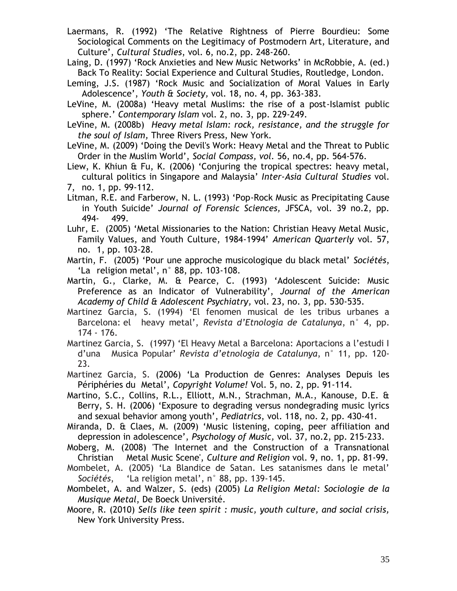Laermans, R. (1992) 'The Relative Rightness of Pierre Bourdieu: Some Sociological Comments on the Legitimacy of Postmodern Art, Literature, and Culture', *Cultural Studies*, vol. 6, no.2, pp. 248-260.

Laing, D. (1997) 'Rock Anxieties and New Music Networks' in McRobbie, A. (ed.) Back To Reality: Social Experience and Cultural Studies, Routledge, London.

- Leming, J.S. (1987) 'Rock Music and Socialization of Moral Values in Early Adolescence', *Youth & Society,* vol. 18, no. 4, pp. 363-383.
- LeVine, M. (2008a) 'Heavy metal Muslims: the rise of a post-Islamist public sphere.' *Contemporary Islam* vol. 2, no. 3, pp. 229-249.
- LeVine, M. (2008b) *Heavy metal Islam: rock, resistance, and the struggle for the soul of Islam,* Three Rivers Press, New York.
- LeVine, M. (2009) 'Doing the Devil's Work: Heavy Metal and the Threat to Public Order in the Muslim World', *Social Compass, vol.* 56, no.4, pp. 564-576.
- Liew, K. Khiun & Fu, K. (2006) 'Conjuring the tropical spectres: heavy metal, cultural politics in Singapore and Malaysia' *Inter-Asia Cultural Studies* vol. 7, no. 1, pp. 99-112.
- Litman, R.E. and Farberow, N. L. (1993) 'Pop-Rock Music as Precipitating Cause in Youth Suicide' *Journal of Forensic Sciences,* JFSCA, vol. 39 no.2, pp. 494- 499.
- Luhr, E. (2005) 'Metal Missionaries to the Nation: Christian Heavy Metal Music, Family Values, and Youth Culture, 1984-1994' *American Quarterly* vol. 57, no. 1, pp. 103-28.
- Martin, F. (2005) 'Pour une approche musicologique du black metal' *Sociétés*, 'La religion metal', n° 88, pp. 103-108.
- Martin, G., Clarke, M. & Pearce, C. (1993) 'Adolescent Suicide: Music Preference as an Indicator of Vulnerability', *Journal of the American Academy of Child & Adolescent Psychiatry,* vol. 23, no. 3, pp. 530-535.
- Martinez Garcia, S. (1994) 'El fenomen musical de les tribus urbanes a Barcelona: el heavy metal', *Revista d'Etnologia de Catalunya*, n° 4, pp. 174 - 176.

Martinez Garcia, S. (1997) 'El Heavy Metal a Barcelona: Aportacions a l'estudi I d'una Musica Popular' *Revista d'etnologia de Catalunya*, n° 11, pp. 120- 23.

Martinez Garcia, S. (2006) 'La Production de Genres: Analyses Depuis les Périphéries du Metal', *Copyright Volume!* Vol. 5, no. 2, pp. 91-114.

- Martino, S.C., Collins, R.L., Elliott, M.N., Strachman, M.A., Kanouse, D.E. & Berry, S. H. (2006) 'Exposure to degrading versus nondegrading music lyrics and sexual behavior among youth', *Pediatrics*, vol. 118, no. 2, pp. 430-41.
- Miranda, D. & Claes, M. (2009) 'Music listening, coping, peer affiliation and depression in adolescence', *Psychology of Music,* vol. 37, no.2, pp. 215-233.
- Moberg, M. (2008) 'The Internet and the Construction of a Transnational Christian Metal Music Scene', *Culture and Religion* vol. 9, no. 1, pp. 81-99.
- Mombelet, A. (2005) 'La Blandice de Satan. Les satanismes dans le metal' *Sociétés*, 'La religion metal', n° 88, pp. 139-145.
- Mombelet, A. and Walzer, S. (eds) (2005) *La Religion Metal: Sociologie de la Musique Metal*, De Boeck Université.

Moore, R. (2010) *Sells like teen spirit : music, youth culture, and social crisis,*  New York University Press.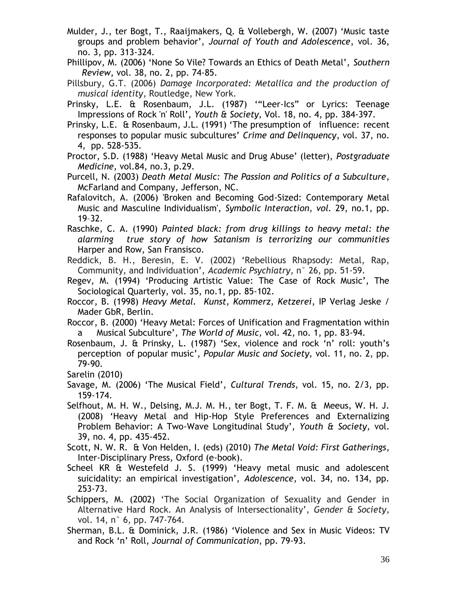- Mulder, J., ter Bogt, T., Raaijmakers, Q. & Vollebergh, W. (2007) 'Music taste groups and problem behavior', *Journal of Youth and Adolescence*, vol. 36, no. 3, pp. 313-324.
- Phillipov, M. (2006) 'None So Vile? Towards an Ethics of Death Metal', *Southern Review*, vol. 38, no. 2, pp. 74-85.
- Pillsbury, G.T. (2006) *Damage Incorporated: Metallica and the production of musical identity*, Routledge, New York.
- Prinsky, L.E. & Rosenbaum, J.L. (1987) '"Leer-Ics" or Lyrics: Teenage Impressions of Rock 'n' Roll', *Youth & Society,* Vol. 18, no. 4, pp. 384-397.
- Prinsky, L.E. & Rosenbaum, J.L. (1991) 'The presumption of influence: recent responses to popular music subcultures' *Crime and Delinquency*, vol. 37, no. 4, pp. 528-535.
- Proctor, S.D. (1988) 'Heavy Metal Music and Drug Abuse' (letter), *Postgraduate Medicine*, vol.84, no.3, p.29.
- Purcell, N. (2003) *Death Metal Music: The Passion and Politics of a Subculture*, McFarland and Company, Jefferson, NC.
- Rafalovitch, A. (2006) 'Broken and Becoming God-Sized: Contemporary Metal Music and Masculine Individualism', *Symbolic Interaction, vol.* 29, no.1, pp. 19–32.
- Raschke, C. A. (1990) *Painted black: from drug killings to heavy metal: the alarming true story of how Satanism is terrorizing our communities* Harper and Row, San Fransisco.
- Reddick, B. H., Beresin, E. V. (2002) 'Rebellious Rhapsody: Metal, Rap, Community, and Individuation', *Academic Psychiatry*, n° 26, pp. 51-59.
- Regev, M. (1994) 'Producing Artistic Value: The Case of Rock Music', The Sociological Quarterly, vol. 35, no.1, pp. 85-102.
- Roccor, B. (1998) *Heavy Metal. Kunst, Kommerz, Ketzerei*, IP Verlag Jeske / Mader GbR, Berlin.
- Roccor, B. (2000) 'Heavy Metal: Forces of Unification and Fragmentation within a Musical Subculture', *The World of Music,* vol. 42, no. 1, pp. 83-94.
- Rosenbaum, J. & Prinsky, L. (1987) 'Sex, violence and rock 'n' roll: youth's perception of popular music', *Popular Music and Society,* vol. 11, no. 2, pp. 79-90.
- Sarelin (2010)
- Savage, M. (2006) 'The Musical Field', *Cultural Trends*, vol. 15, no. 2/3, pp. 159-174.
- Selfhout, M. H. W., Delsing, M.J. M. H., ter Bogt, T. F. M. & Meeus, W. H. J. (2008) 'Heavy Metal and Hip-Hop Style Preferences and Externalizing Problem Behavior: A Two-Wave Longitudinal Study', *Youth & Society,* vol. 39, no. 4, pp. 435-452.
- Scott, N. W. R. & Von Helden, I. (eds) (2010) *The Metal Void: First Gatherings*, Inter-Disciplinary Press, Oxford (e-book).
- Scheel KR & Westefeld J. S. (1999) 'Heavy metal music and adolescent suicidality: an empirical investigation', *Adolescence*, vol. 34, no. 134, pp. 253-73.
- Schippers, M. (2002) 'The Social Organization of Sexuality and Gender in Alternative Hard Rock. An Analysis of Intersectionality', *Gender & Society*, vol. 14, n° 6, pp. 747-764.
- Sherman, B.L. & Dominick, J.R. (1986) 'Violence and Sex in Music Videos: TV and Rock 'n' Roll, *Journal of Communication*, pp. 79-93.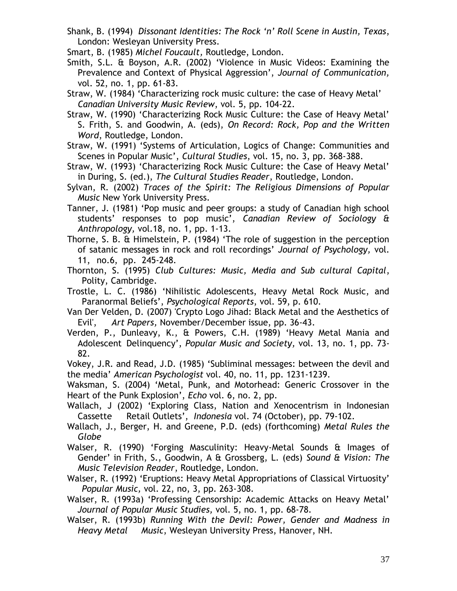- Shank, B. (1994) *Dissonant Identities: The Rock 'n' Roll Scene in Austin, Texas*, London: Wesleyan University Press.
- Smart, B. (1985) *Michel Foucault,* Routledge, London.
- Smith, S.L. & Boyson, A.R. (2002) 'Violence in Music Videos: Examining the Prevalence and Context of Physical Aggression', *Journal of Communication,*  vol. 52, no. 1, pp. 61-83.
- Straw, W. (1984) 'Characterizing rock music culture: the case of Heavy Metal' *Canadian University Music Review*, vol. 5, pp. 104-22.
- Straw, W. (1990) 'Characterizing Rock Music Culture: the Case of Heavy Metal' S. Frith, S. and Goodwin, A. (eds), *On Record: Rock, Pop and the Written Word*, Routledge, London.
- Straw, W. (1991) 'Systems of Articulation, Logics of Change: Communities and Scenes in Popular Music', *Cultural Studies*, vol. 15, no. 3, pp. 368-388.
- Straw, W. (1993) 'Characterizing Rock Music Culture: the Case of Heavy Metal' in During, S. (ed.), *The Cultural Studies Reader*, Routledge, London.
- Sylvan, R. (2002) *Traces of the Spirit: The Religious Dimensions of Popular Music* New York University Press.
- Tanner, J. (1981) 'Pop music and peer groups: a study of Canadian high school students' responses to pop music', *Canadian Review of Sociology & Anthropology,* vol.18, no. 1, pp. 1-13.
- Thorne, S. B. & Himelstein, P. (1984) 'The role of suggestion in the perception of satanic messages in rock and roll recordings' *Journal of Psychology,* vol. 11, no.6, pp. 245-248.
- Thornton, S. (1995) *Club Cultures: Music, Media and Sub cultural Capital*, Polity, Cambridge.
- Trostle, L. C. (1986) 'Nihilistic Adolescents, Heavy Metal Rock Music, and Paranormal Beliefs', *Psychological Reports*, vol. 59, p. 610.
- Van Der Velden, D. (2007) 'Crypto Logo Jihad: Black Metal and the Aesthetics of Evil', *Art Papers,* November/December issue, pp. 36-43.
- Verden, P., Dunleavy, K., & Powers, C.H. (1989) 'Heavy Metal Mania and Adolescent Delinquency', *Popular Music and Society,* vol. 13, no. 1, pp. 73- 82.
- Vokey, J.R. and Read, J.D. (1985) 'Subliminal messages: between the devil and the media' *American Psychologist* vol. 40, no. 11, pp. 1231-1239.
- Waksman, S. (2004) 'Metal, Punk, and Motorhead: Generic Crossover in the Heart of the Punk Explosion', *Echo* vol. 6, no. 2, pp.
- Wallach, J (2002) 'Exploring Class, Nation and Xenocentrism in Indonesian Cassette Retail Outlets', *Indonesia* vol. 74 (October), pp. 79-102.
- Wallach, J., Berger, H. and Greene, P.D. (eds) (forthcoming) *Metal Rules the Globe*
- Walser, R. (1990) 'Forging Masculinity: Heavy-Metal Sounds & Images of Gender' in Frith, S., Goodwin, A & Grossberg, L. (eds) *Sound & Vision: The Music Television Reader*, Routledge, London.
- Walser, R. (1992) 'Eruptions: Heavy Metal Appropriations of Classical Virtuosity' *Popular Music,* vol. 22, no, 3, pp. 263-308.
- Walser, R. (1993a) 'Professing Censorship: Academic Attacks on Heavy Metal' *Journal of Popular Music Studies,* vol. 5, no. 1, pp. 68-78.
- Walser, R. (1993b) *Running With the Devil: Power, Gender and Madness in Heavy Metal Music*, Wesleyan University Press, Hanover, NH.